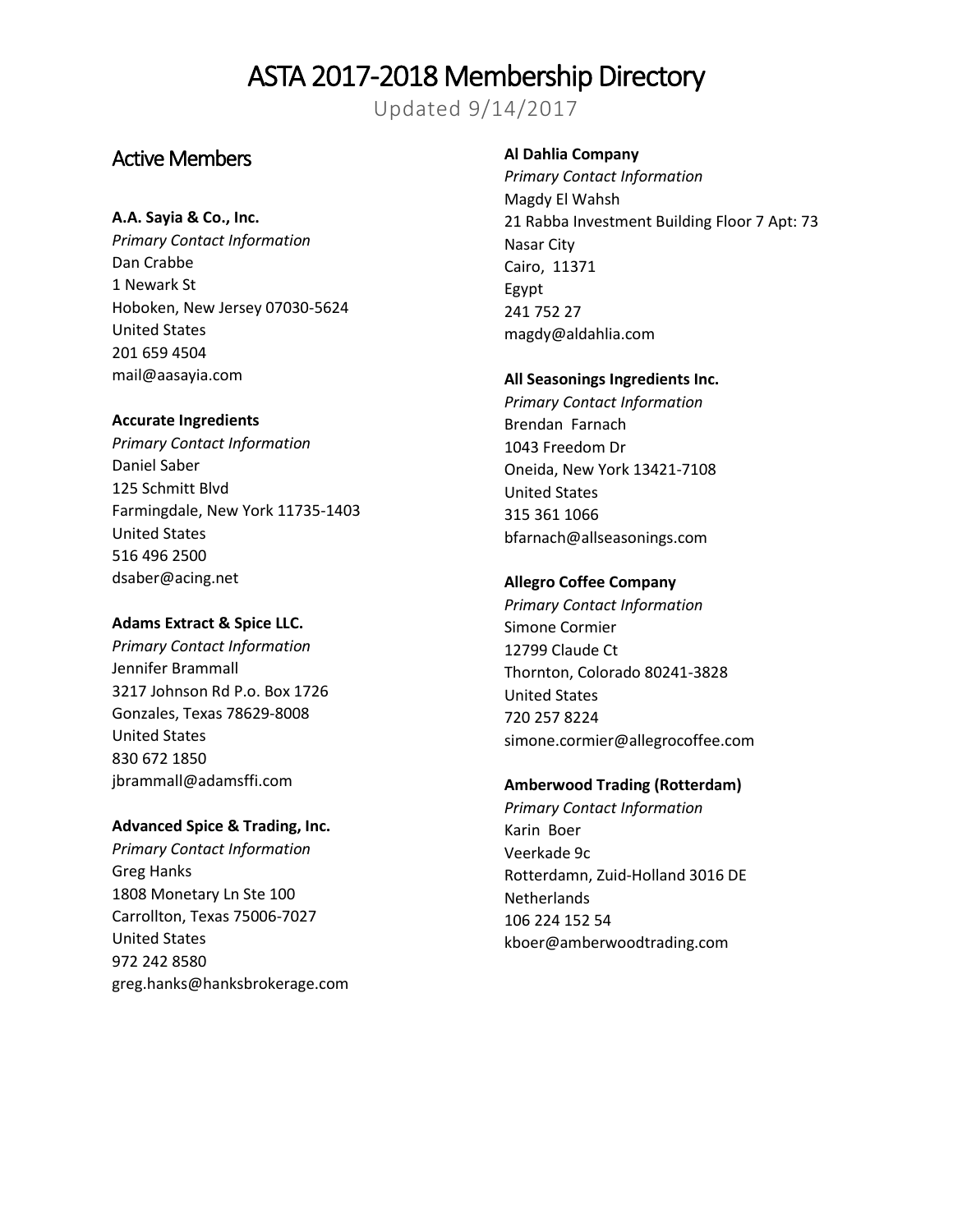Updated 9/14/2017

## Active Members

## **A.A. Sayia & Co., Inc.**

*Primary Contact Information* Dan Crabbe 1 Newark St Hoboken, New Jersey 07030-5624 United States 201 659 4504 mail@aasayia.com

## **Accurate Ingredients**

*Primary Contact Information* Daniel Saber 125 Schmitt Blvd Farmingdale, New York 11735-1403 United States 516 496 2500 dsaber@acing.net

## **Adams Extract & Spice LLC.**

*Primary Contact Information* Jennifer Brammall 3217 Johnson Rd P.o. Box 1726 Gonzales, Texas 78629-8008 United States 830 672 1850 jbrammall@adamsffi.com

## **Advanced Spice & Trading, Inc.**

*Primary Contact Information* Greg Hanks 1808 Monetary Ln Ste 100 Carrollton, Texas 75006-7027 United States 972 242 8580 greg.hanks@hanksbrokerage.com

## **Al Dahlia Company**

*Primary Contact Information* Magdy El Wahsh 21 Rabba Investment Building Floor 7 Apt: 73 Nasar City Cairo, 11371 Egypt 241 752 27 magdy@aldahlia.com

## **All Seasonings Ingredients Inc.**

*Primary Contact Information* Brendan Farnach 1043 Freedom Dr Oneida, New York 13421-7108 United States 315 361 1066 bfarnach@allseasonings.com

## **Allegro Coffee Company**

*Primary Contact Information* Simone Cormier 12799 Claude Ct Thornton, Colorado 80241-3828 United States 720 257 8224 simone.cormier@allegrocoffee.com

## **Amberwood Trading (Rotterdam)**

*Primary Contact Information* Karin Boer Veerkade 9c Rotterdamn, Zuid-Holland 3016 DE **Netherlands** 106 224 152 54 kboer@amberwoodtrading.com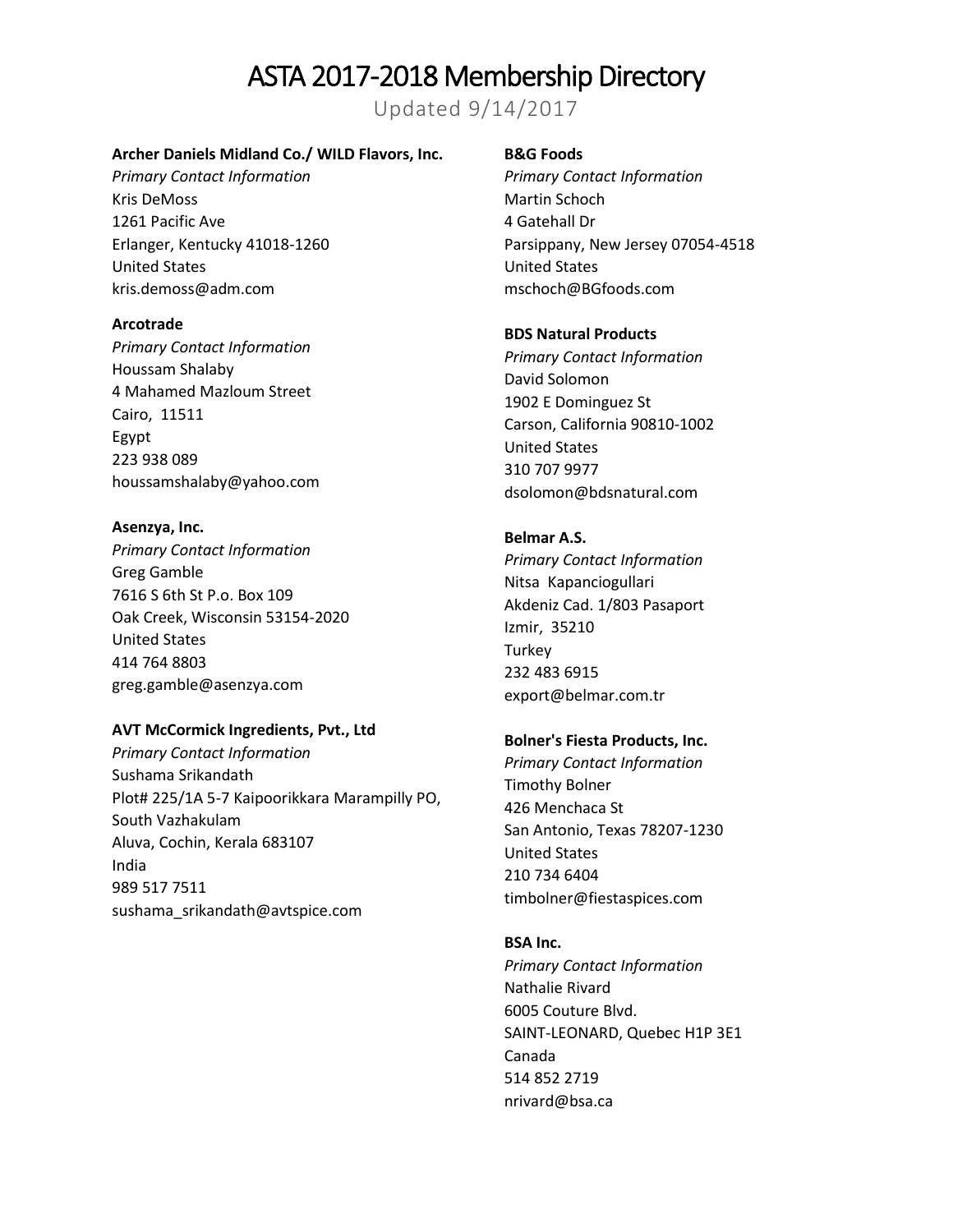Updated 9/14/2017

## **Archer Daniels Midland Co./ WILD Flavors, Inc.**

*Primary Contact Information* Kris DeMoss 1261 Pacific Ave Erlanger, Kentucky 41018-1260 United States kris.demoss@adm.com

#### **Arcotrade**

*Primary Contact Information* Houssam Shalaby 4 Mahamed Mazloum Street Cairo, 11511 Egypt 223 938 089 houssamshalaby@yahoo.com

**Asenzya, Inc.**  *Primary Contact Information* Greg Gamble 7616 S 6th St P.o. Box 109 Oak Creek, Wisconsin 53154-2020 United States 414 764 8803 greg.gamble@asenzya.com

#### **AVT McCormick Ingredients, Pvt., Ltd**

*Primary Contact Information* Sushama Srikandath Plot# 225/1A 5-7 Kaipoorikkara Marampilly PO, South Vazhakulam Aluva, Cochin, Kerala 683107 India 989 517 7511 sushama\_srikandath@avtspice.com

### **B&G Foods**

*Primary Contact Information* Martin Schoch 4 Gatehall Dr Parsippany, New Jersey 07054-4518 United States mschoch@BGfoods.com

#### **BDS Natural Products**

*Primary Contact Information* David Solomon 1902 E Dominguez St Carson, California 90810-1002 United States 310 707 9977 dsolomon@bdsnatural.com

## **Belmar A.S.**

*Primary Contact Information* Nitsa Kapanciogullari Akdeniz Cad. 1/803 Pasaport Izmir, 35210 **Turkey** 232 483 6915 export@belmar.com.tr

## **Bolner's Fiesta Products, Inc.**

*Primary Contact Information* Timothy Bolner 426 Menchaca St San Antonio, Texas 78207-1230 United States 210 734 6404 timbolner@fiestaspices.com

## **BSA Inc.**

*Primary Contact Information* Nathalie Rivard 6005 Couture Blvd. SAINT-LEONARD, Quebec H1P 3E1 Canada 514 852 2719 nrivard@bsa.ca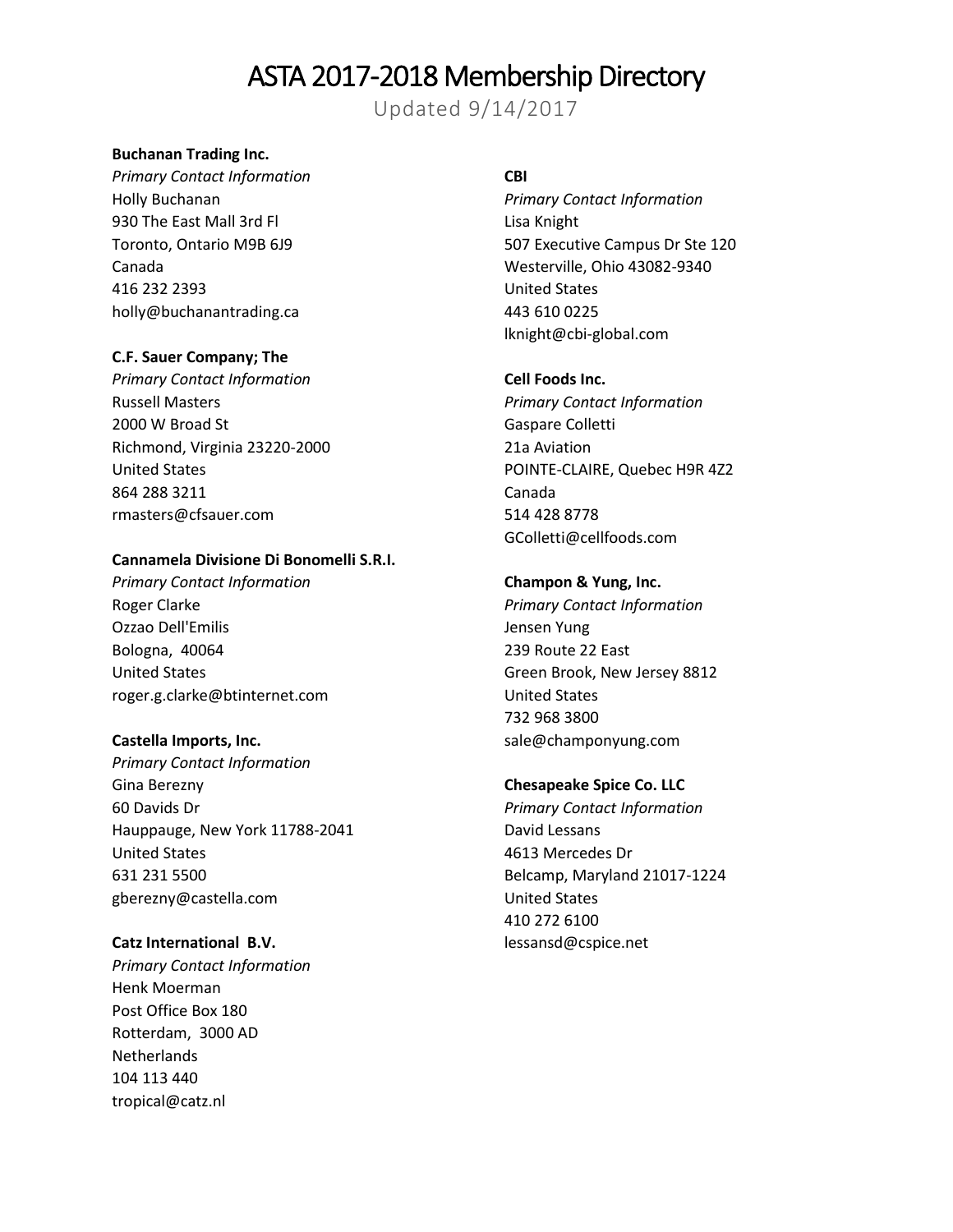Updated 9/14/2017

### **Buchanan Trading Inc.**

*Primary Contact Information* Holly Buchanan 930 The East Mall 3rd Fl Toronto, Ontario M9B 6J9 Canada 416 232 2393 holly@buchanantrading.ca

### **C.F. Sauer Company; The**

*Primary Contact Information* Russell Masters 2000 W Broad St Richmond, Virginia 23220-2000 United States 864 288 3211 rmasters@cfsauer.com

#### **Cannamela Divisione Di Bonomelli S.R.I.**

*Primary Contact Information* Roger Clarke Ozzao Dell'Emilis Bologna, 40064 United States roger.g.clarke@btinternet.com

#### **Castella Imports, Inc.**

*Primary Contact Information* Gina Berezny 60 Davids Dr Hauppauge, New York 11788-2041 United States 631 231 5500 gberezny@castella.com

#### **Catz International B.V.**

*Primary Contact Information* Henk Moerman Post Office Box 180 Rotterdam, 3000 AD Netherlands 104 113 440 tropical@catz.nl

## **CBI**

*Primary Contact Information* Lisa Knight 507 Executive Campus Dr Ste 120 Westerville, Ohio 43082-9340 United States 443 610 0225 lknight@cbi-global.com

## **Cell Foods Inc.**

*Primary Contact Information* Gaspare Colletti 21a Aviation POINTE-CLAIRE, Quebec H9R 4Z2 Canada 514 428 8778 GColletti@cellfoods.com

#### **Champon & Yung, Inc.**

*Primary Contact Information* Jensen Yung 239 Route 22 East Green Brook, New Jersey 8812 United States 732 968 3800 sale@champonyung.com

#### **Chesapeake Spice Co. LLC**

*Primary Contact Information* David Lessans 4613 Mercedes Dr Belcamp, Maryland 21017-1224 United States 410 272 6100 lessansd@cspice.net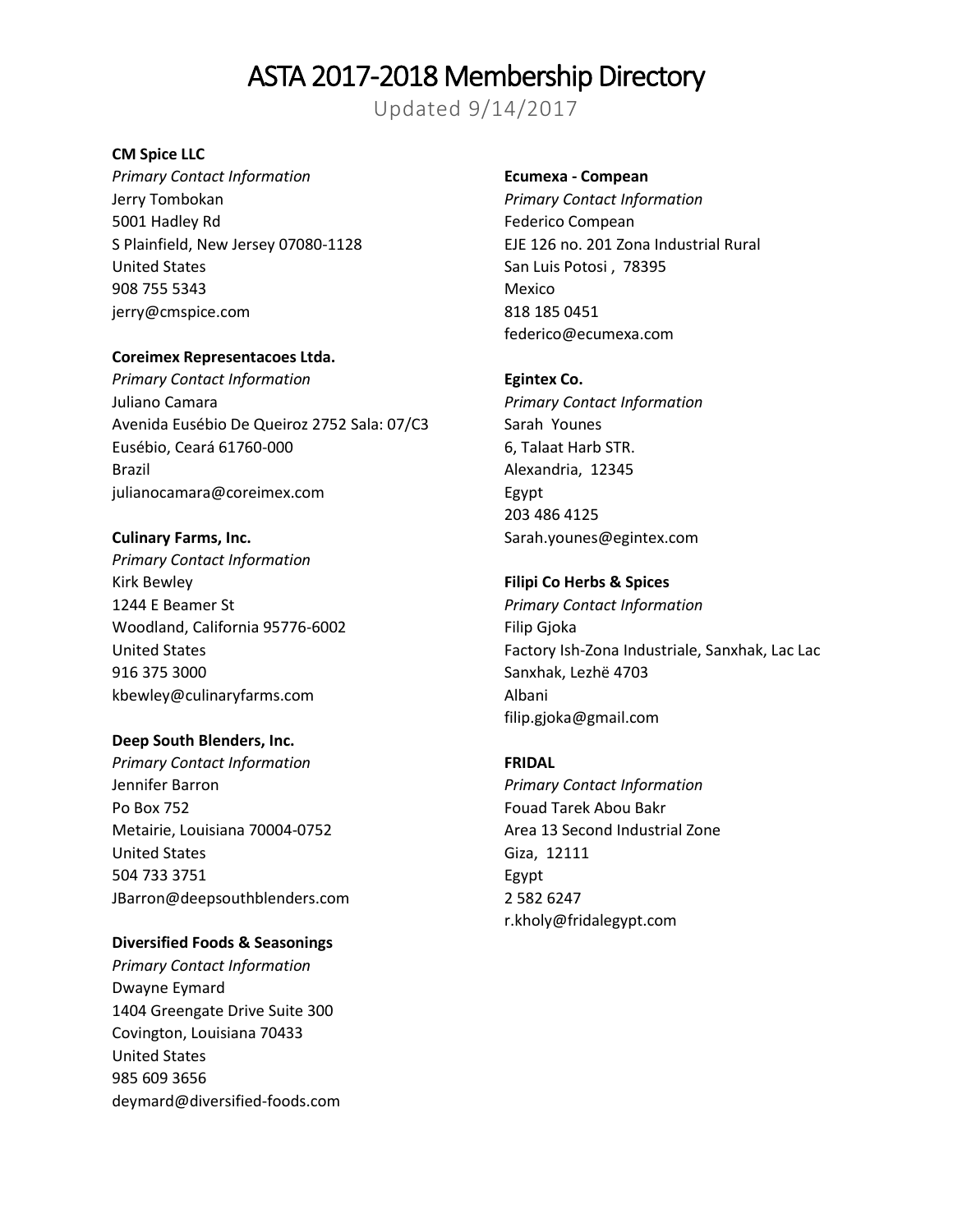Updated 9/14/2017

### **CM Spice LLC**

*Primary Contact Information* Jerry Tombokan 5001 Hadley Rd S Plainfield, New Jersey 07080-1128 United States 908 755 5343 jerry@cmspice.com

## **Coreimex Representacoes Ltda.**

*Primary Contact Information* Juliano Camara Avenida Eusébio De Queiroz 2752 Sala: 07/C3 Eusébio, Ceará 61760-000 Brazil julianocamara@coreimex.com

### **Culinary Farms, Inc.**

*Primary Contact Information* Kirk Bewley 1244 E Beamer St Woodland, California 95776-6002 United States 916 375 3000 kbewley@culinaryfarms.com

## **Deep South Blenders, Inc.**

*Primary Contact Information* Jennifer Barron Po Box 752 Metairie, Louisiana 70004-0752 United States 504 733 3751 JBarron@deepsouthblenders.com

## **Diversified Foods & Seasonings**

*Primary Contact Information* Dwayne Eymard 1404 Greengate Drive Suite 300 Covington, Louisiana 70433 United States 985 609 3656 deymard@diversified-foods.com

#### **Ecumexa - Compean**

*Primary Contact Information* Federico Compean EJE 126 no. 201 Zona Industrial Rural San Luis Potosi , 78395 Mexico 818 185 0451 federico@ecumexa.com

#### **Egintex Co.**

*Primary Contact Information* Sarah Younes 6, Talaat Harb STR. Alexandria, 12345 Egypt 203 486 4125 Sarah.younes@egintex.com

#### **Filipi Co Herbs & Spices**

*Primary Contact Information* Filip Gjoka Factory Ish-Zona Industriale, Sanxhak, Lac Lac Sanxhak, Lezhë 4703 Albani filip.gjoka@gmail.com

#### **FRIDAL**

*Primary Contact Information* Fouad Tarek Abou Bakr Area 13 Second Industrial Zone Giza, 12111 Egypt 2 582 6247 r.kholy@fridalegypt.com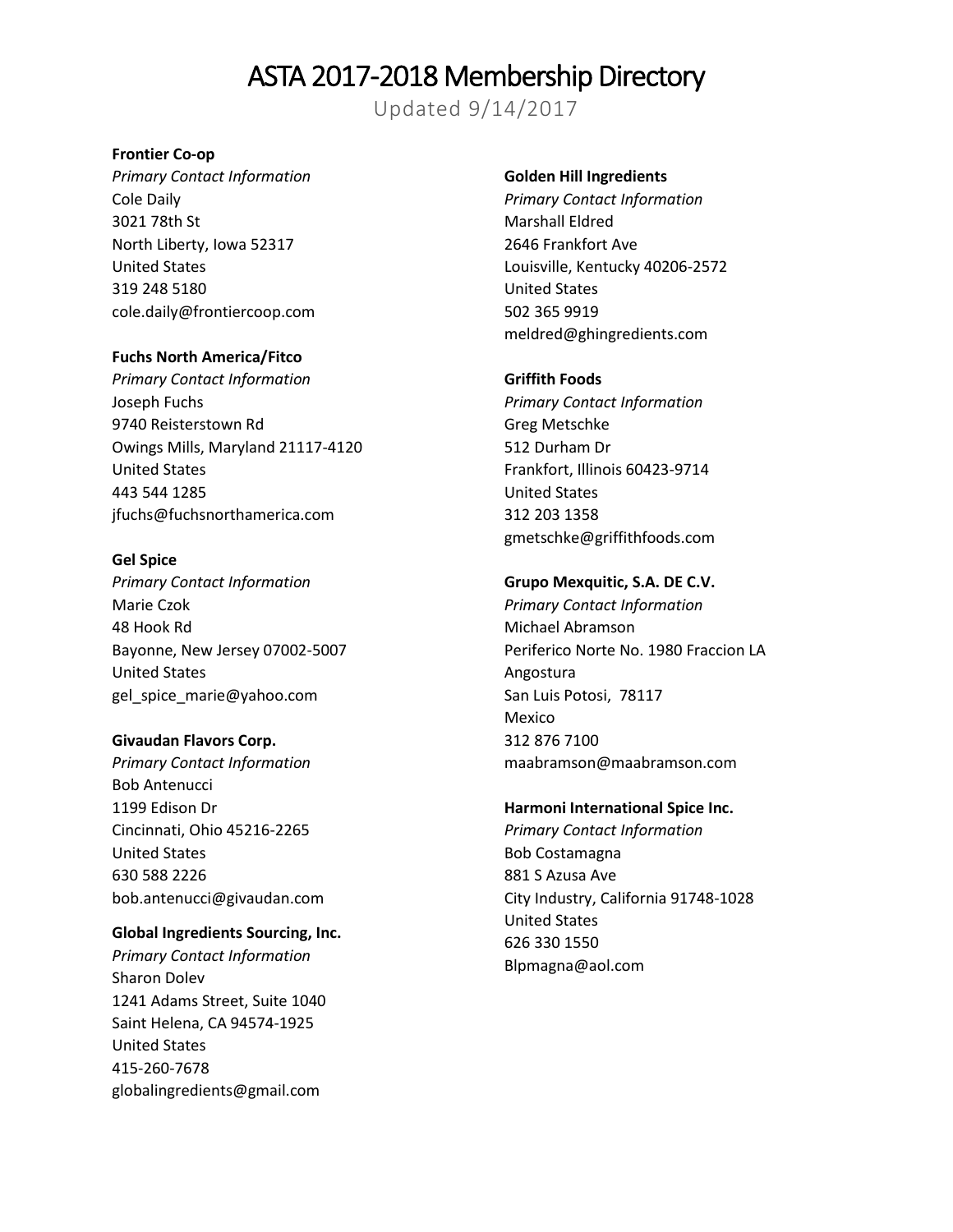Updated 9/14/2017

### **Frontier Co-op**

*Primary Contact Information* Cole Daily 3021 78th St North Liberty, Iowa 52317 United States 319 248 5180 cole.daily@frontiercoop.com

### **Fuchs North America/Fitco**

*Primary Contact Information* Joseph Fuchs 9740 Reisterstown Rd Owings Mills, Maryland 21117-4120 United States 443 544 1285 jfuchs@fuchsnorthamerica.com

#### **Gel Spice**

*Primary Contact Information* Marie Czok 48 Hook Rd Bayonne, New Jersey 07002-5007 United States gel\_spice\_marie@yahoo.com

## **Givaudan Flavors Corp.**

*Primary Contact Information* Bob Antenucci 1199 Edison Dr Cincinnati, Ohio 45216-2265 United States 630 588 2226 [bob.antenucci@givaudan.com](mailto:bob.antenucci@givaudan.com)

#### **Global Ingredients Sourcing, Inc.**

*Primary Contact Information* Sharon Dolev 1241 Adams Street, Suite 1040 Saint Helena, CA 94574-1925 United States 415-260-7678 globalingredients@gmail.com

#### **Golden Hill Ingredients**

*Primary Contact Information* Marshall Eldred 2646 Frankfort Ave Louisville, Kentucky 40206-2572 United States 502 365 9919 meldred@ghingredients.com

#### **Griffith Foods**

*Primary Contact Information* Greg Metschke 512 Durham Dr Frankfort, Illinois 60423-9714 United States 312 203 1358 gmetschke@griffithfoods.com

## **Grupo Mexquitic, S.A. DE C.V.**

*Primary Contact Information* Michael Abramson Periferico Norte No. 1980 Fraccion LA Angostura San Luis Potosi, 78117 Mexico 312 876 7100 maabramson@maabramson.com

#### **Harmoni International Spice Inc.**

*Primary Contact Information* Bob Costamagna 881 S Azusa Ave City Industry, California 91748-1028 United States 626 330 1550 Blpmagna@aol.com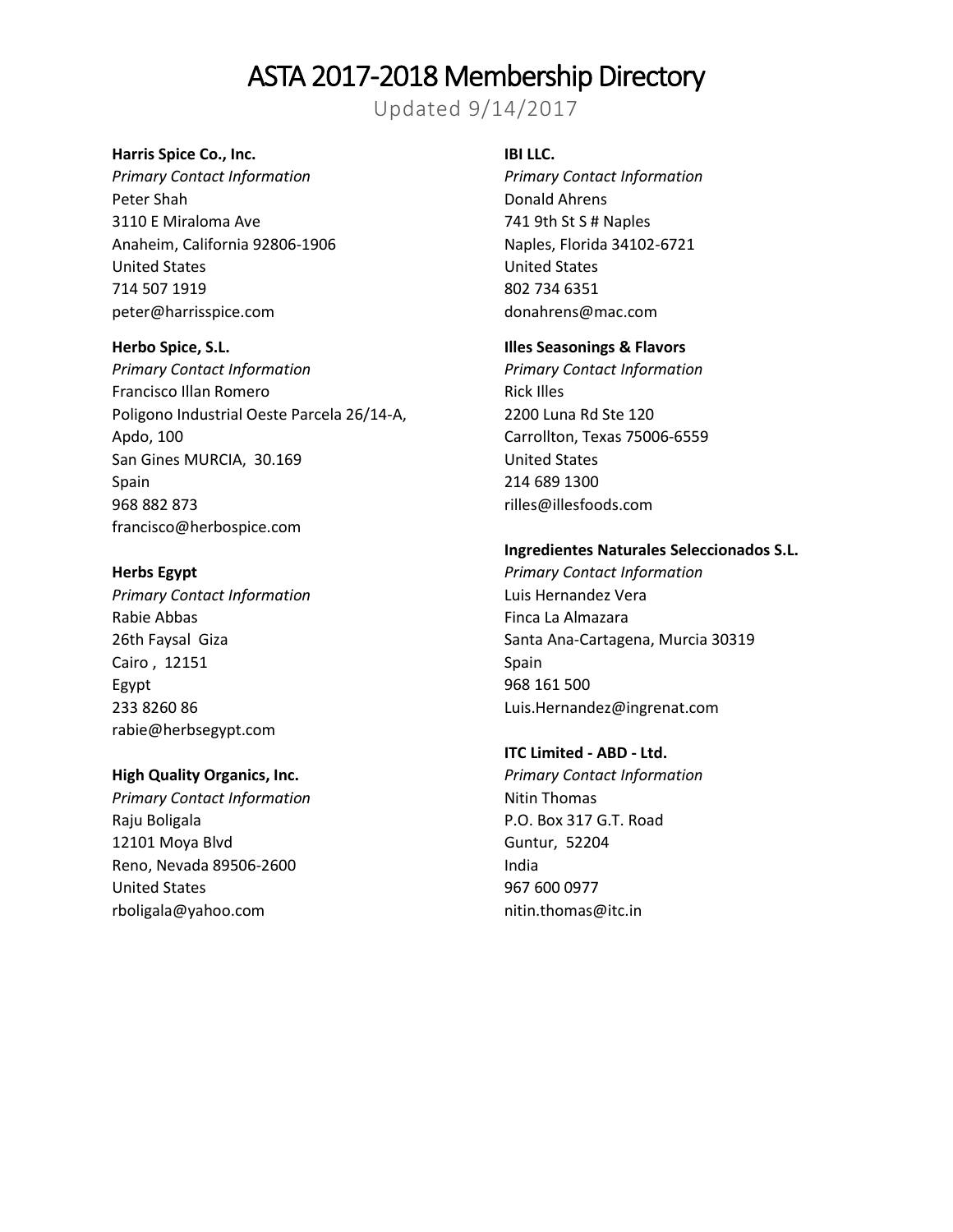Updated 9/14/2017

#### **Harris Spice Co., Inc.**

*Primary Contact Information* Peter Shah 3110 E Miraloma Ave Anaheim, California 92806-1906 United States 714 507 1919 peter@harrisspice.com

### **Herbo Spice, S.L.**

*Primary Contact Information* Francisco Illan Romero Poligono Industrial Oeste Parcela 26/14-A, Apdo, 100 San Gines MURCIA, 30.169 Spain 968 882 873 francisco@herbospice.com

## **Herbs Egypt**

*Primary Contact Information* Rabie Abbas 26th Faysal Giza Cairo , 12151 Egypt 233 8260 86 rabie@herbsegypt.com

## **High Quality Organics, Inc.**

*Primary Contact Information* Raju Boligala 12101 Moya Blvd Reno, Nevada 89506-2600 United States rboligala@yahoo.com

#### **IBI LLC.**

*Primary Contact Information* Donald Ahrens 741 9th St S # Naples Naples, Florida 34102-6721 United States 802 734 6351 donahrens@mac.com

#### **Illes Seasonings & Flavors**

*Primary Contact Information* Rick Illes 2200 Luna Rd Ste 120 Carrollton, Texas 75006-6559 United States 214 689 1300 rilles@illesfoods.com

#### **Ingredientes Naturales Seleccionados S.L.**

*Primary Contact Information* Luis Hernandez Vera Finca La Almazara Santa Ana-Cartagena, Murcia 30319 Spain 968 161 500 Luis.Hernandez@ingrenat.com

## **ITC Limited - ABD - Ltd.**

*Primary Contact Information* Nitin Thomas P.O. Box 317 G.T. Road Guntur, 52204 India 967 600 0977 nitin.thomas@itc.in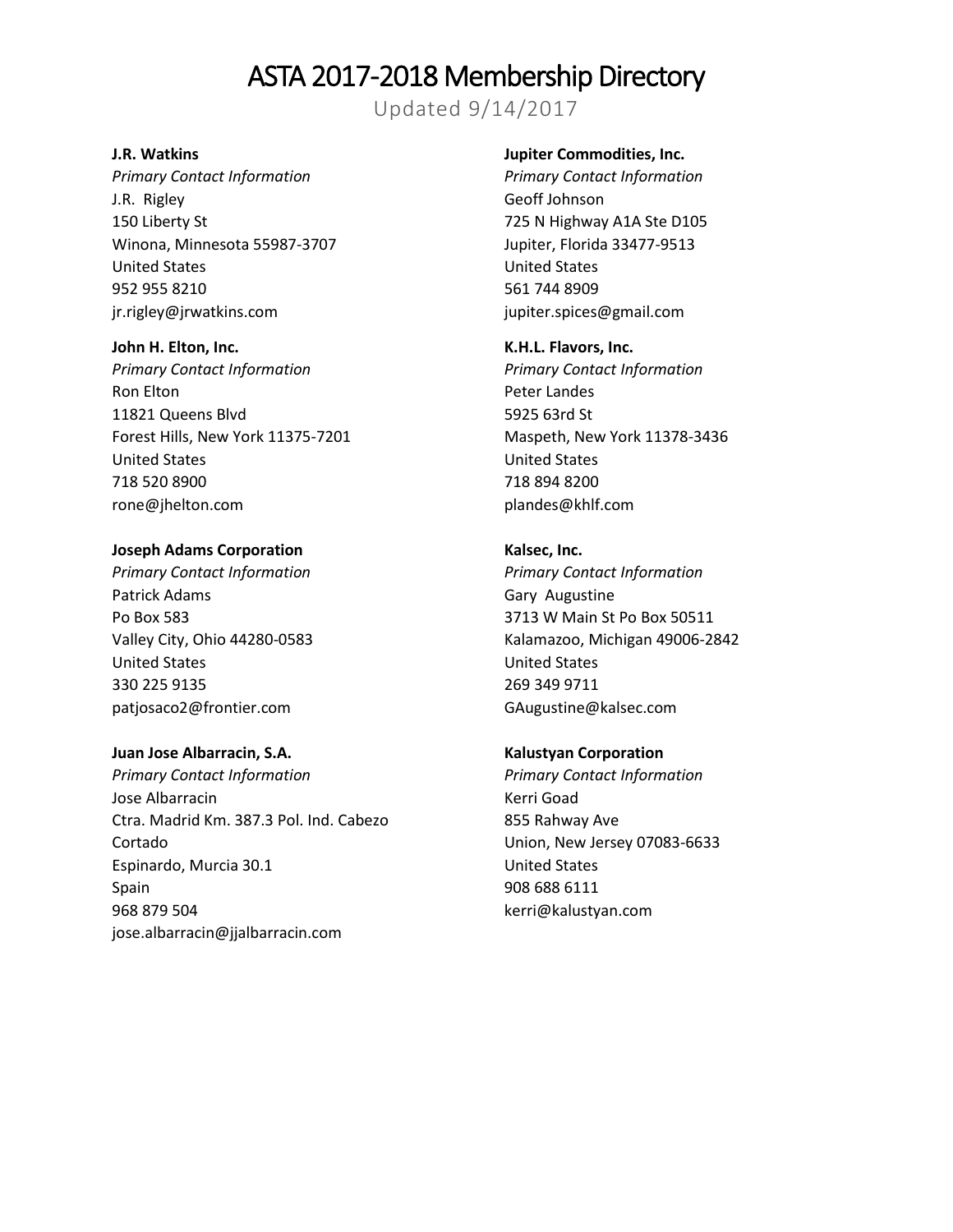Updated 9/14/2017

### **J.R. Watkins**

*Primary Contact Information* J.R. Rigley 150 Liberty St Winona, Minnesota 55987-3707 United States 952 955 8210 jr.rigley@jrwatkins.com

#### **John H. Elton, Inc.**

*Primary Contact Information* Ron Elton 11821 Queens Blvd Forest Hills, New York 11375-7201 United States 718 520 8900 rone@jhelton.com

#### **Joseph Adams Corporation**

*Primary Contact Information* Patrick Adams Po Box 583 Valley City, Ohio 44280-0583 United States 330 225 9135 patjosaco2@frontier.com

#### **Juan Jose Albarracin, S.A.**

*Primary Contact Information* Jose Albarracin Ctra. Madrid Km. 387.3 Pol. Ind. Cabezo Cortado Espinardo, Murcia 30.1 Spain 968 879 504 jose.albarracin@jjalbarracin.com

#### **Jupiter Commodities, Inc.**

*Primary Contact Information* Geoff Johnson 725 N Highway A1A Ste D105 Jupiter, Florida 33477-9513 United States 561 744 8909 jupiter.spices@gmail.com

#### **K.H.L. Flavors, Inc.**

*Primary Contact Information* Peter Landes 5925 63rd St Maspeth, New York 11378-3436 United States 718 894 8200 plandes@khlf.com

### **Kalsec, Inc.**

*Primary Contact Information* Gary Augustine 3713 W Main St Po Box 50511 Kalamazoo, Michigan 49006-2842 United States 269 349 9711 GAugustine@kalsec.com

#### **Kalustyan Corporation**

*Primary Contact Information* Kerri Goad 855 Rahway Ave Union, New Jersey 07083-6633 United States 908 688 6111 kerri@kalustyan.com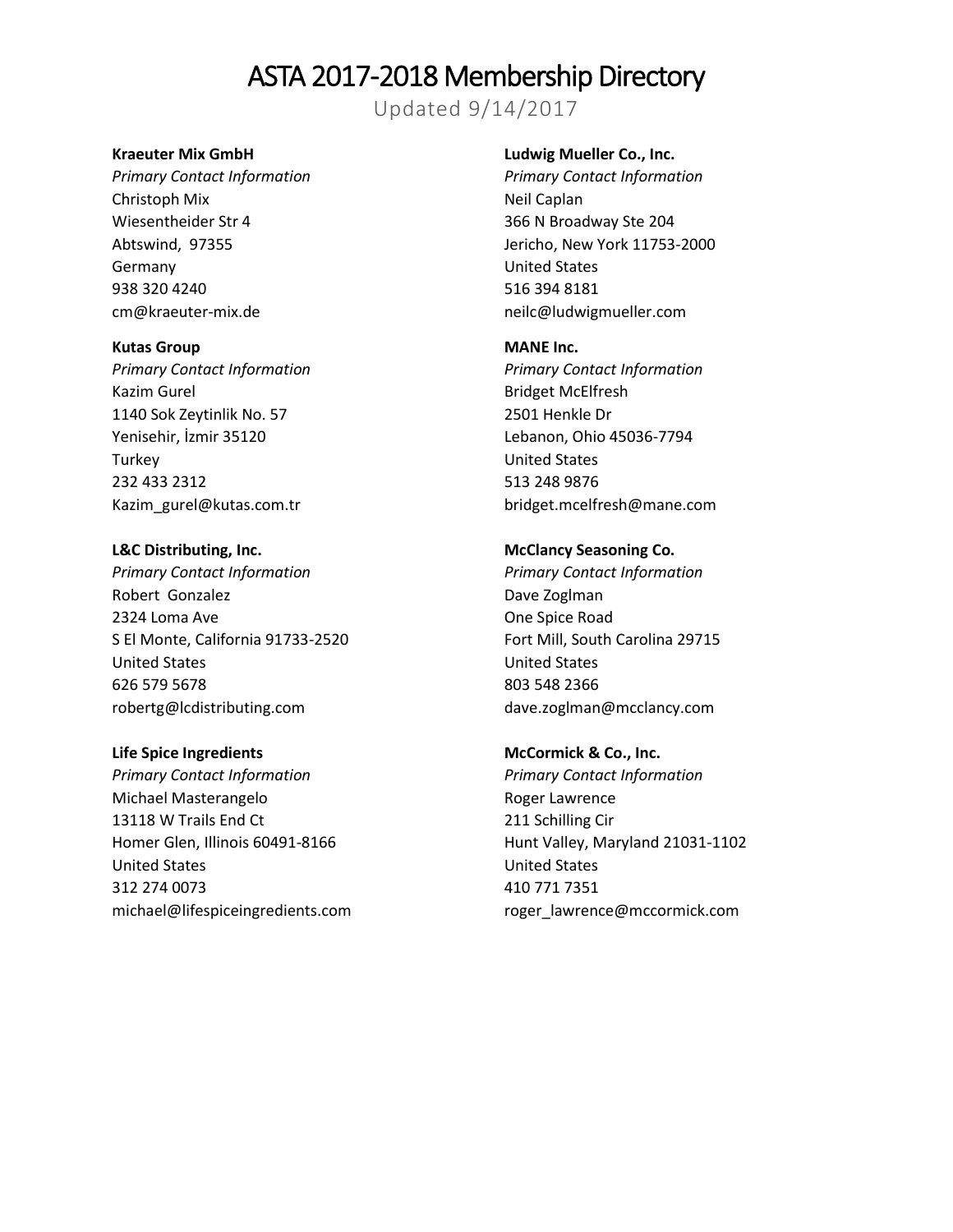Updated 9/14/2017

### **Kraeuter Mix GmbH**

*Primary Contact Information* Christoph Mix Wiesentheider Str 4 Abtswind, 97355 Germany 938 320 4240 cm@kraeuter-mix.de

#### **Kutas Group**

*Primary Contact Information* Kazim Gurel 1140 Sok Zeytinlik No. 57 Yenisehir, İzmir 35120 **Turkey** 232 433 2312 Kazim\_gurel@kutas.com.tr

#### **L&C Distributing, Inc.**

*Primary Contact Information* Robert Gonzalez 2324 Loma Ave S El Monte, California 91733-2520 United States 626 579 5678 robertg@lcdistributing.com

#### **Life Spice Ingredients**

*Primary Contact Information* Michael Masterangelo 13118 W Trails End Ct Homer Glen, Illinois 60491-8166 United States 312 274 0073 michael@lifespiceingredients.com

### **Ludwig Mueller Co., Inc.**

*Primary Contact Information* Neil Caplan 366 N Broadway Ste 204 Jericho, New York 11753-2000 United States 516 394 8181 neilc@ludwigmueller.com

#### **MANE Inc.**

*Primary Contact Information* Bridget McElfresh 2501 Henkle Dr Lebanon, Ohio 45036-7794 United States 513 248 9876 bridget.mcelfresh@mane.com

### **McClancy Seasoning Co.**

*Primary Contact Information* Dave Zoglman One Spice Road Fort Mill, South Carolina 29715 United States 803 548 2366 dave.zoglman@mcclancy.com

## **McCormick & Co., Inc.** *Primary Contact Information* Roger Lawrence 211 Schilling Cir Hunt Valley, Maryland 21031-1102 United States 410 771 7351 roger\_lawrence@mccormick.com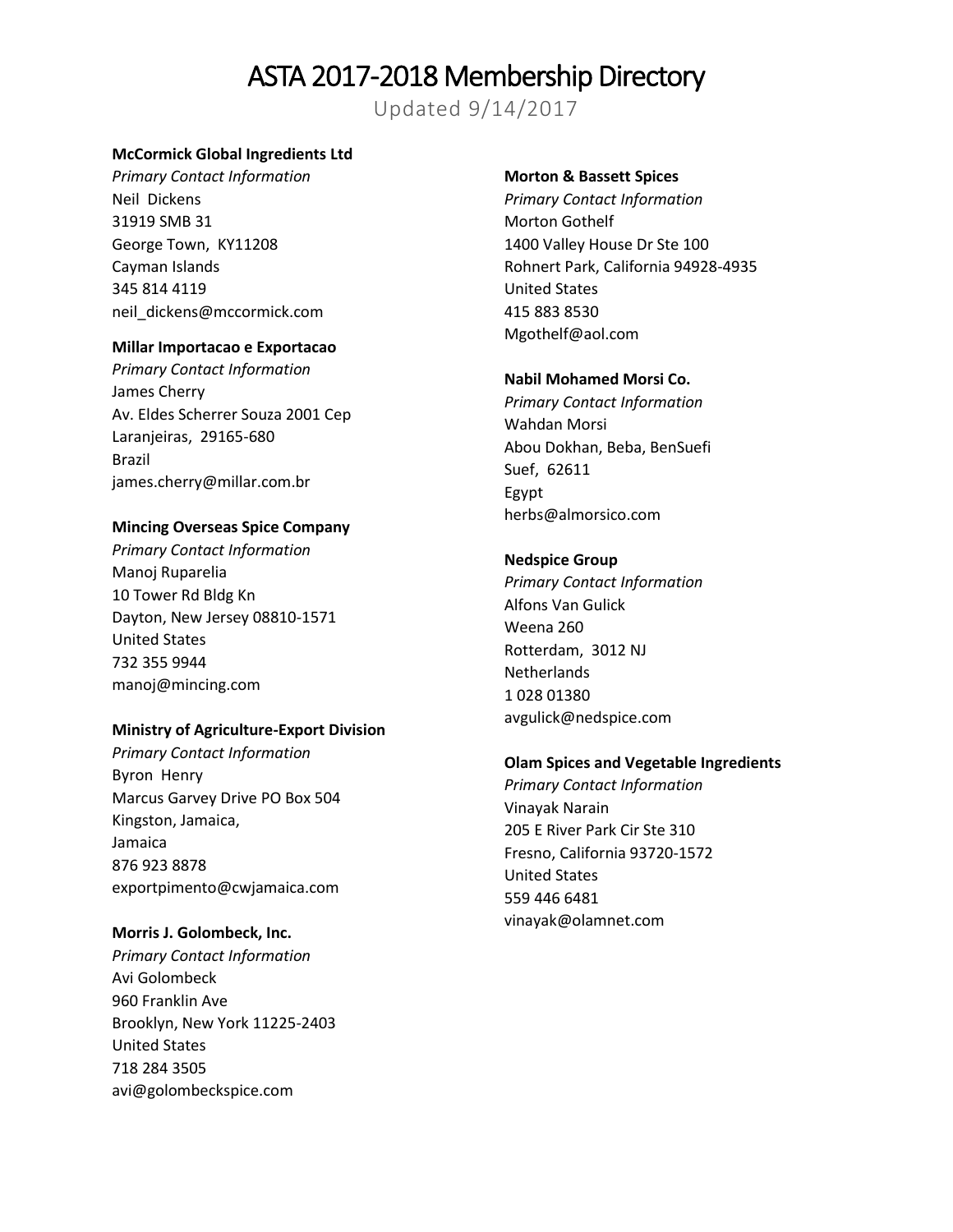Updated 9/14/2017

#### **McCormick Global Ingredients Ltd**

*Primary Contact Information* Neil Dickens 31919 SMB 31 George Town, KY11208 Cayman Islands 345 814 4119 neil\_dickens@mccormick.com

### **Millar Importacao e Exportacao**

*Primary Contact Information* James Cherry Av. Eldes Scherrer Souza 2001 Cep Laranjeiras, 29165-680 Brazil james.cherry@millar.com.br

#### **Mincing Overseas Spice Company**

*Primary Contact Information* Manoj Ruparelia 10 Tower Rd Bldg Kn Dayton, New Jersey 08810-1571 United States 732 355 9944 manoj@mincing.com

#### **Ministry of Agriculture-Export Division**

*Primary Contact Information* Byron Henry Marcus Garvey Drive PO Box 504 Kingston, Jamaica, Jamaica 876 923 8878 exportpimento@cwjamaica.com

#### **Morris J. Golombeck, Inc.**

*Primary Contact Information* Avi Golombeck 960 Franklin Ave Brooklyn, New York 11225-2403 United States 718 284 3505 avi@golombeckspice.com

#### **Morton & Bassett Spices**

*Primary Contact Information* Morton Gothelf 1400 Valley House Dr Ste 100 Rohnert Park, California 94928-4935 United States 415 883 8530 Mgothelf@aol.com

### **Nabil Mohamed Morsi Co.**

*Primary Contact Information* Wahdan Morsi Abou Dokhan, Beba, BenSuefi Suef, 62611 Egypt herbs@almorsico.com

### **Nedspice Group**

*Primary Contact Information* Alfons Van Gulick Weena 260 Rotterdam, 3012 NJ Netherlands 1 028 01380 avgulick@nedspice.com

#### **Olam Spices and Vegetable Ingredients**

*Primary Contact Information* Vinayak Narain 205 E River Park Cir Ste 310 Fresno, California 93720-1572 United States 559 446 6481 vinayak@olamnet.com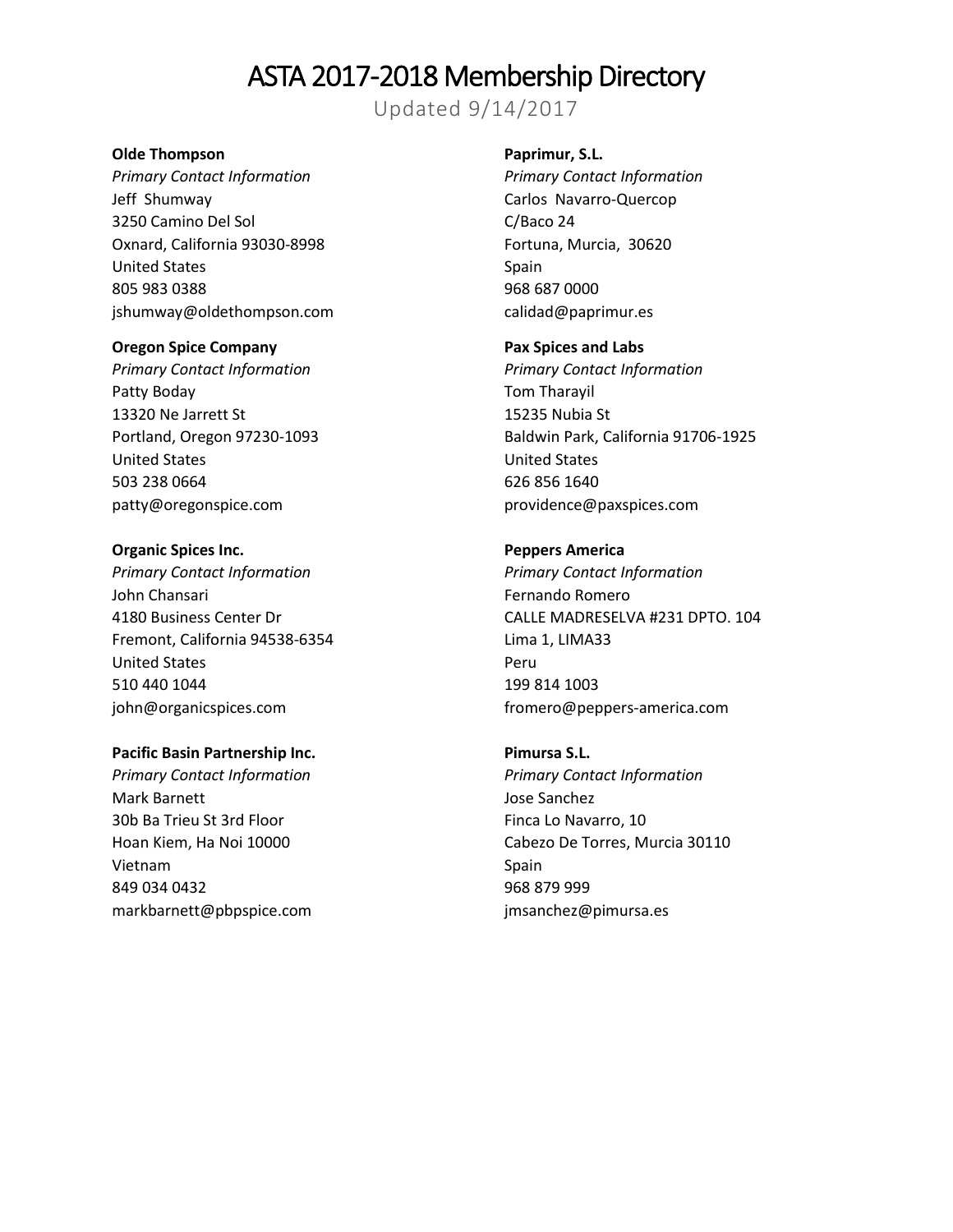Updated 9/14/2017

#### **Olde Thompson**

*Primary Contact Information* Jeff Shumway 3250 Camino Del Sol Oxnard, California 93030-8998 United States 805 983 0388 jshumway@oldethompson.com

#### **Oregon Spice Company**

*Primary Contact Information* Patty Boday 13320 Ne Jarrett St Portland, Oregon 97230-1093 United States 503 238 0664 patty@oregonspice.com

#### **Organic Spices Inc.**

*Primary Contact Information* John Chansari 4180 Business Center Dr Fremont, California 94538-6354 United States 510 440 1044 john@organicspices.com

## **Pacific Basin Partnership Inc.**

*Primary Contact Information* Mark Barnett 30b Ba Trieu St 3rd Floor Hoan Kiem, Ha Noi 10000 Vietnam 849 034 0432 markbarnett@pbpspice.com

## **Paprimur, S.L.**

*Primary Contact Information* Carlos Navarro-Quercop C/Baco 24 Fortuna, Murcia, 30620 Spain 968 687 0000 calidad@paprimur.es

#### **Pax Spices and Labs**

*Primary Contact Information* Tom Tharayil 15235 Nubia St Baldwin Park, California 91706-1925 United States 626 856 1640 providence@paxspices.com

## **Peppers America**

*Primary Contact Information* Fernando Romero CALLE MADRESELVA #231 DPTO. 104 Lima 1, LIMA33 Peru 199 814 1003 fromero@peppers-america.com

## **Pimursa S.L.**

*Primary Contact Information* Jose Sanchez Finca Lo Navarro, 10 Cabezo De Torres, Murcia 30110 Spain 968 879 999 jmsanchez@pimursa.es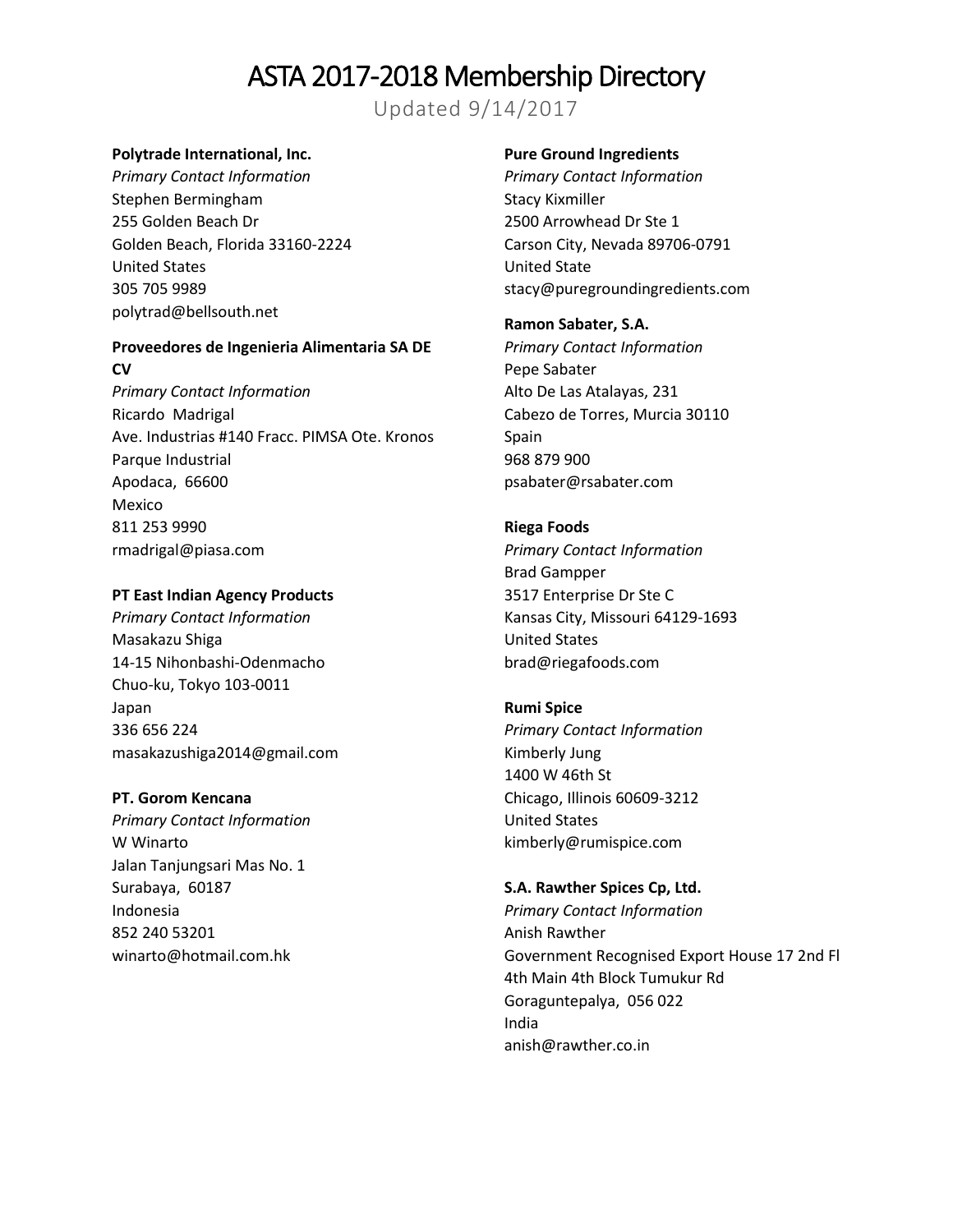Updated 9/14/2017

### **Polytrade International, Inc.**

*Primary Contact Information* Stephen Bermingham 255 Golden Beach Dr Golden Beach, Florida 33160-2224 United States 305 705 9989 polytrad@bellsouth.net

## **Proveedores de Ingenieria Alimentaria SA DE CV**

*Primary Contact Information* Ricardo Madrigal Ave. Industrias #140 Fracc. PIMSA Ote. Kronos Parque Industrial Apodaca, 66600 Mexico 811 253 9990 rmadrigal@piasa.com

#### **PT East Indian Agency Products**

*Primary Contact Information* Masakazu Shiga 14-15 Nihonbashi-Odenmacho Chuo-ku, Tokyo 103-0011 Japan 336 656 224 masakazushiga2014@gmail.com

#### **PT. Gorom Kencana**

*Primary Contact Information* W Winarto Jalan Tanjungsari Mas No. 1 Surabaya, 60187 Indonesia 852 240 53201 winarto@hotmail.com.hk

## **Pure Ground Ingredients**

*Primary Contact Information* Stacy Kixmiller 2500 Arrowhead Dr Ste 1 Carson City, Nevada 89706-0791 United State stacy@puregroundingredients.com

#### **Ramon Sabater, S.A.**

*Primary Contact Information* Pepe Sabater Alto De Las Atalayas, 231 Cabezo de Torres, Murcia 30110 Spain 968 879 900 psabater@rsabater.com

#### **Riega Foods**

*Primary Contact Information* Brad Gampper 3517 Enterprise Dr Ste C Kansas City, Missouri 64129-1693 United States brad@riegafoods.com

#### **Rumi Spice**

*Primary Contact Information* Kimberly Jung 1400 W 46th St Chicago, Illinois 60609-3212 United States kimberly@rumispice.com

#### **S.A. Rawther Spices Cp, Ltd.**

*Primary Contact Information* Anish Rawther Government Recognised Export House 17 2nd Fl 4th Main 4th Block Tumukur Rd Goraguntepalya, 056 022 India anish@rawther.co.in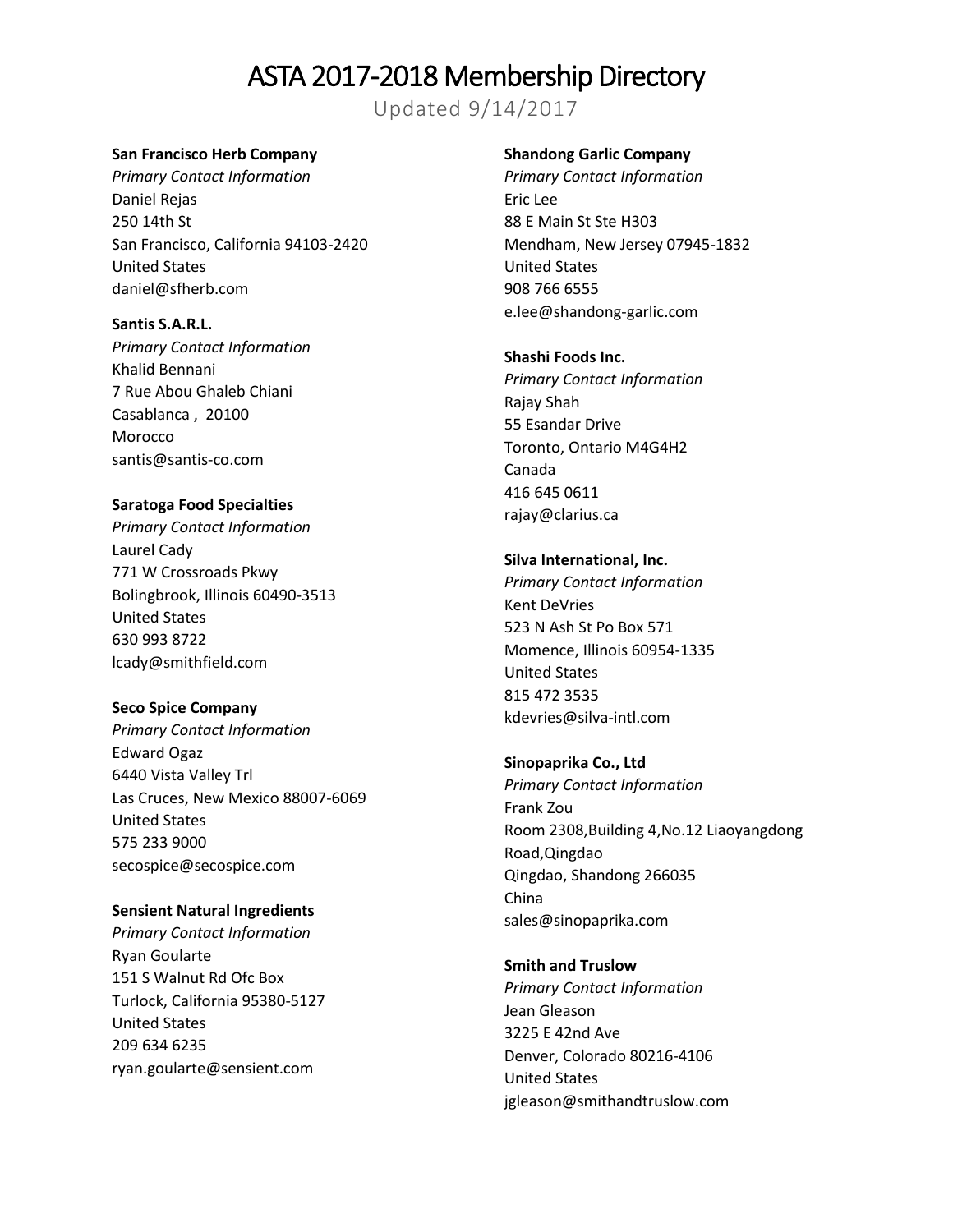Updated 9/14/2017

#### **San Francisco Herb Company**

*Primary Contact Information* Daniel Rejas 250 14th St San Francisco, California 94103-2420 United States daniel@sfherb.com

**Santis S.A.R.L.** *Primary Contact Information* Khalid Bennani 7 Rue Abou Ghaleb Chiani Casablanca , 20100 Morocco santis@santis-co.com

## **Saratoga Food Specialties**

*Primary Contact Information* Laurel Cady 771 W Crossroads Pkwy Bolingbrook, Illinois 60490-3513 United States 630 993 8722 lcady@smithfield.com

#### **Seco Spice Company**

*Primary Contact Information* Edward Ogaz 6440 Vista Valley Trl Las Cruces, New Mexico 88007-6069 United States 575 233 9000 secospice@secospice.com

#### **Sensient Natural Ingredients**

*Primary Contact Information* Ryan Goularte 151 S Walnut Rd Ofc Box Turlock, California 95380-5127 United States 209 634 6235 ryan.goularte@sensient.com

#### **Shandong Garlic Company**

*Primary Contact Information* Eric Lee 88 E Main St Ste H303 Mendham, New Jersey 07945-1832 United States 908 766 6555 e.lee@shandong-garlic.com

#### **Shashi Foods Inc.**

*Primary Contact Information* Rajay Shah 55 Esandar Drive Toronto, Ontario M4G4H2 Canada 416 645 0611 rajay@clarius.ca

#### **Silva International, Inc.**

*Primary Contact Information* Kent DeVries 523 N Ash St Po Box 571 Momence, Illinois 60954-1335 United States 815 472 3535 kdevries@silva-intl.com

**Sinopaprika Co., Ltd** *Primary Contact Information* Frank Zou Room 2308,Building 4,No.12 Liaoyangdong Road,Qingdao Qingdao, Shandong 266035 China sales@sinopaprika.com

**Smith and Truslow** *Primary Contact Information* Jean Gleason 3225 E 42nd Ave Denver, Colorado 80216-4106 United States jgleason@smithandtruslow.com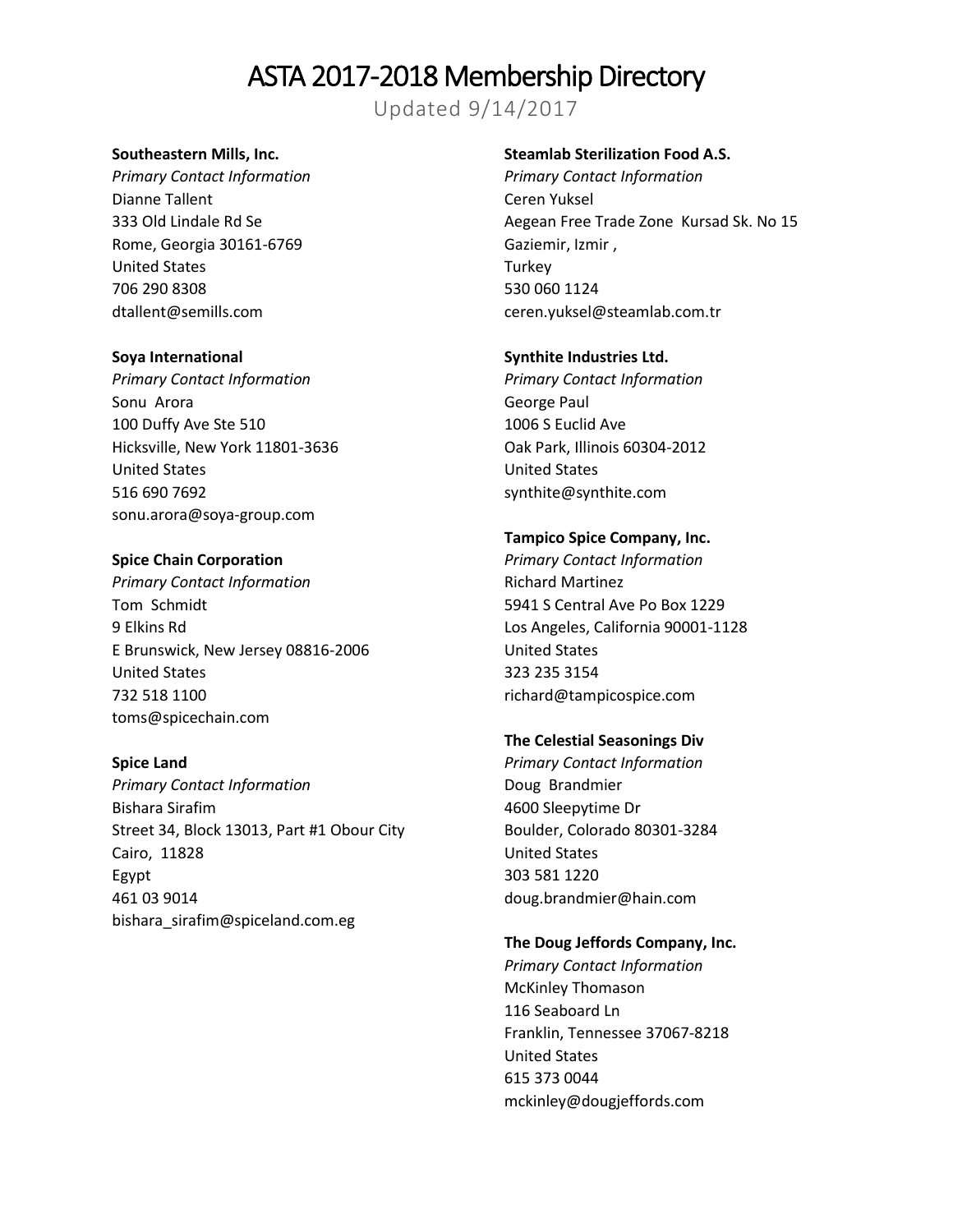Updated 9/14/2017

#### **Southeastern Mills, Inc.**

*Primary Contact Information* Dianne Tallent 333 Old Lindale Rd Se Rome, Georgia 30161-6769 United States 706 290 8308 dtallent@semills.com

#### **Soya International**

*Primary Contact Information* Sonu Arora 100 Duffy Ave Ste 510 Hicksville, New York 11801-3636 United States 516 690 7692 sonu.arora@soya-group.com

#### **Spice Chain Corporation**

*Primary Contact Information* Tom Schmidt 9 Elkins Rd E Brunswick, New Jersey 08816-2006 United States 732 518 1100 toms@spicechain.com

#### **Spice Land**

*Primary Contact Information* Bishara Sirafim Street 34, Block 13013, Part #1 Obour City Cairo, 11828 Egypt 461 03 9014 bishara\_sirafim@spiceland.com.eg

### **Steamlab Sterilization Food A.S.**

*Primary Contact Information* Ceren Yuksel Aegean Free Trade Zone Kursad Sk. No 15 Gaziemir, Izmir , **Turkey** 530 060 1124 ceren.yuksel@steamlab.com.tr

#### **Synthite Industries Ltd.**

*Primary Contact Information* George Paul 1006 S Euclid Ave Oak Park, Illinois 60304-2012 United States synthite@synthite.com

#### **Tampico Spice Company, Inc.**

*Primary Contact Information* Richard Martinez 5941 S Central Ave Po Box 1229 Los Angeles, California 90001-1128 United States 323 235 3154 richard@tampicospice.com

#### **The Celestial Seasonings Div**

*Primary Contact Information* Doug Brandmier 4600 Sleepytime Dr Boulder, Colorado 80301-3284 United States 303 581 1220 doug.brandmier@hain.com

### **The Doug Jeffords Company, Inc.**

*Primary Contact Information* McKinley Thomason 116 Seaboard Ln Franklin, Tennessee 37067-8218 United States 615 373 0044 mckinley@dougjeffords.com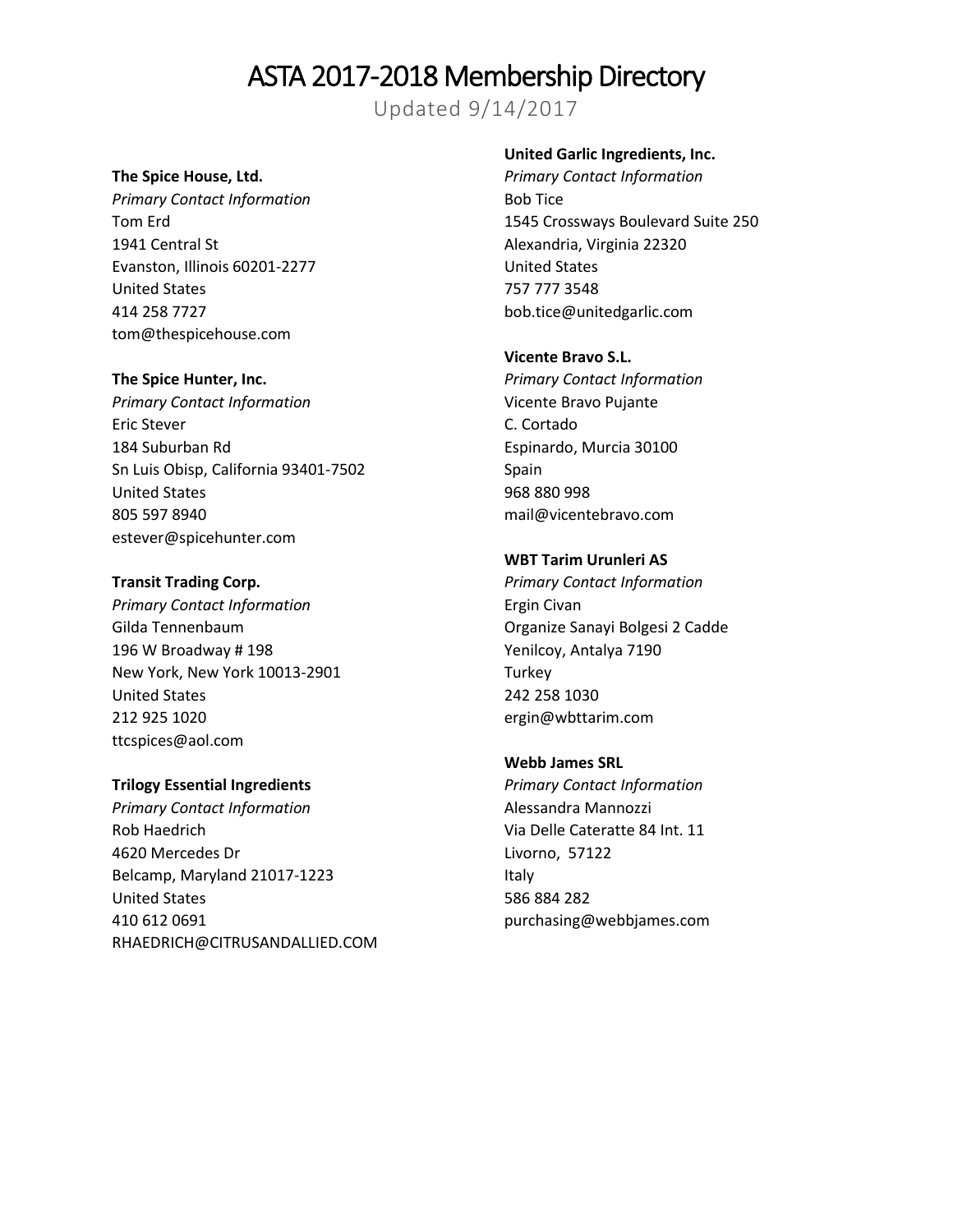Updated 9/14/2017

### **The Spice House, Ltd.**

*Primary Contact Information* Tom Erd 1941 Central St Evanston, Illinois 60201-2277 United States 414 258 7727 tom@thespicehouse.com

#### **The Spice Hunter, Inc.**

*Primary Contact Information* Eric Stever 184 Suburban Rd Sn Luis Obisp, California 93401-7502 United States 805 597 8940 estever@spicehunter.com

#### **Transit Trading Corp.**

*Primary Contact Information* Gilda Tennenbaum 196 W Broadway # 198 New York, New York 10013-2901 United States 212 925 1020 ttcspices@aol.com

## **Trilogy Essential Ingredients**

*Primary Contact Information* Rob Haedrich 4620 Mercedes Dr Belcamp, Maryland 21017-1223 United States 410 612 0691 RHAEDRICH@CITRUSANDALLIED.COM

### **United Garlic Ingredients, Inc.**

*Primary Contact Information* Bob Tice 1545 Crossways Boulevard Suite 250 Alexandria, Virginia 22320 United States 757 777 3548 bob.tice@unitedgarlic.com

#### **Vicente Bravo S.L.**

*Primary Contact Information* Vicente Bravo Pujante C. Cortado Espinardo, Murcia 30100 Spain 968 880 998 mail@vicentebravo.com

#### **WBT Tarim Urunleri AS**

*Primary Contact Information* Ergin Civan Organize Sanayi Bolgesi 2 Cadde Yenilcoy, Antalya 7190 **Turkey** 242 258 1030 ergin@wbttarim.com

## **Webb James SRL**

*Primary Contact Information* Alessandra Mannozzi Via Delle Cateratte 84 Int. 11 Livorno, 57122 Italy 586 884 282 purchasing@webbjames.com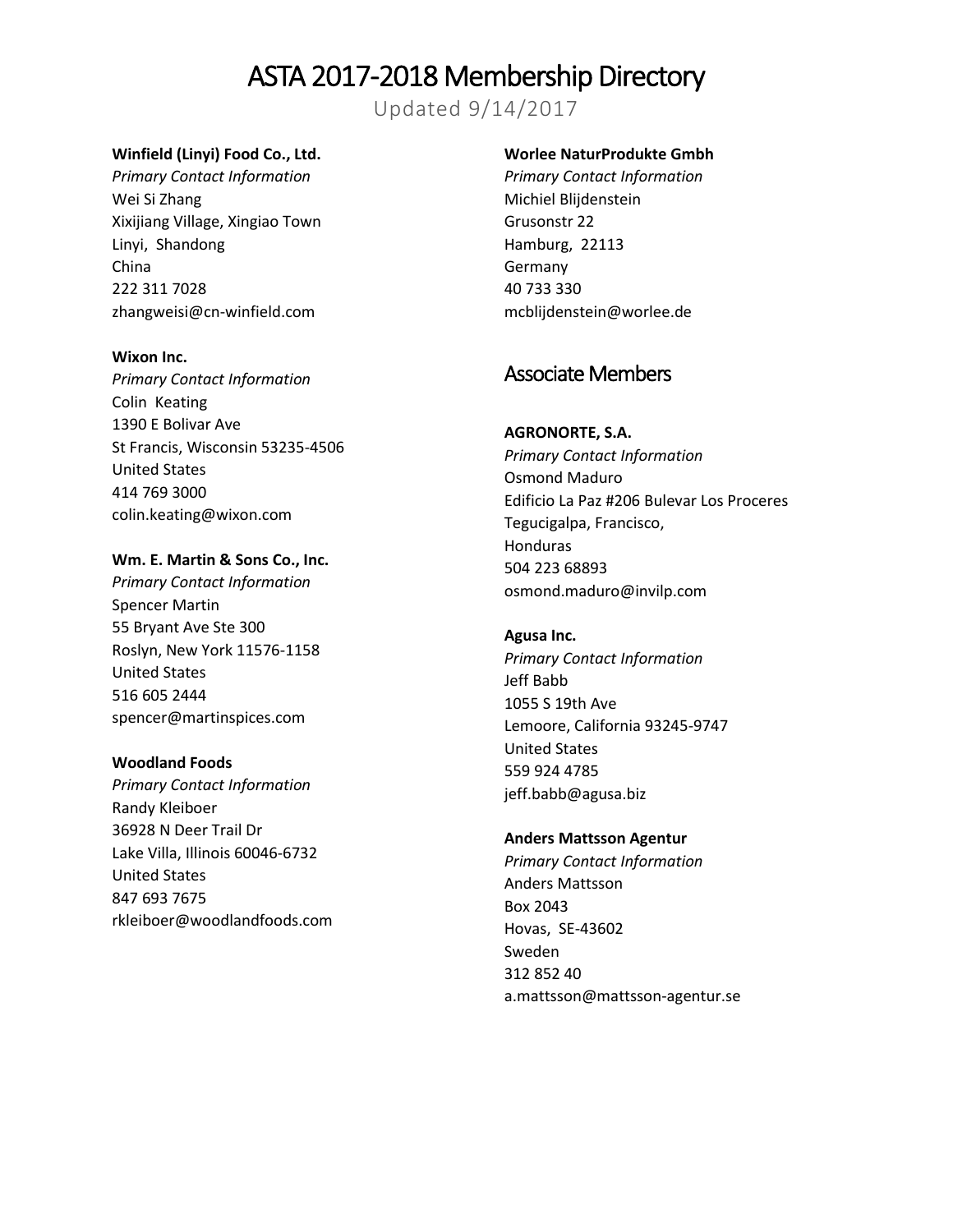Updated 9/14/2017

## **Winfield (Linyi) Food Co., Ltd.**

*Primary Contact Information* Wei Si Zhang Xixijiang Village, Xingiao Town Linyi, Shandong China 222 311 7028 zhangweisi@cn-winfield.com

#### **Wixon Inc.**

*Primary Contact Information* Colin Keating 1390 E Bolivar Ave St Francis, Wisconsin 53235-4506 United States 414 769 3000 colin.keating@wixon.com

#### **Wm. E. Martin & Sons Co., Inc.**

*Primary Contact Information* Spencer Martin 55 Bryant Ave Ste 300 Roslyn, New York 11576-1158 United States 516 605 2444 spencer@martinspices.com

## **Woodland Foods**

*Primary Contact Information* Randy Kleiboer 36928 N Deer Trail Dr Lake Villa, Illinois 60046-6732 United States 847 693 7675 rkleiboer@woodlandfoods.com

## **Worlee NaturProdukte Gmbh**

*Primary Contact Information* Michiel Blijdenstein Grusonstr 22 Hamburg, 22113 Germany 40 733 330 mcblijdenstein@worlee.de

## Associate Members

## **AGRONORTE, S.A.**

*Primary Contact Information* Osmond Maduro Edificio La Paz #206 Bulevar Los Proceres Tegucigalpa, Francisco, **Honduras** 504 223 68893 osmond.maduro@invilp.com

## **Agusa Inc.**

*Primary Contact Information* Jeff Babb 1055 S 19th Ave Lemoore, California 93245-9747 United States 559 924 4785 jeff.babb@agusa.biz

## **Anders Mattsson Agentur**

*Primary Contact Information* Anders Mattsson Box 2043 Hovas, SE-43602 Sweden 312 852 40 a.mattsson@mattsson-agentur.se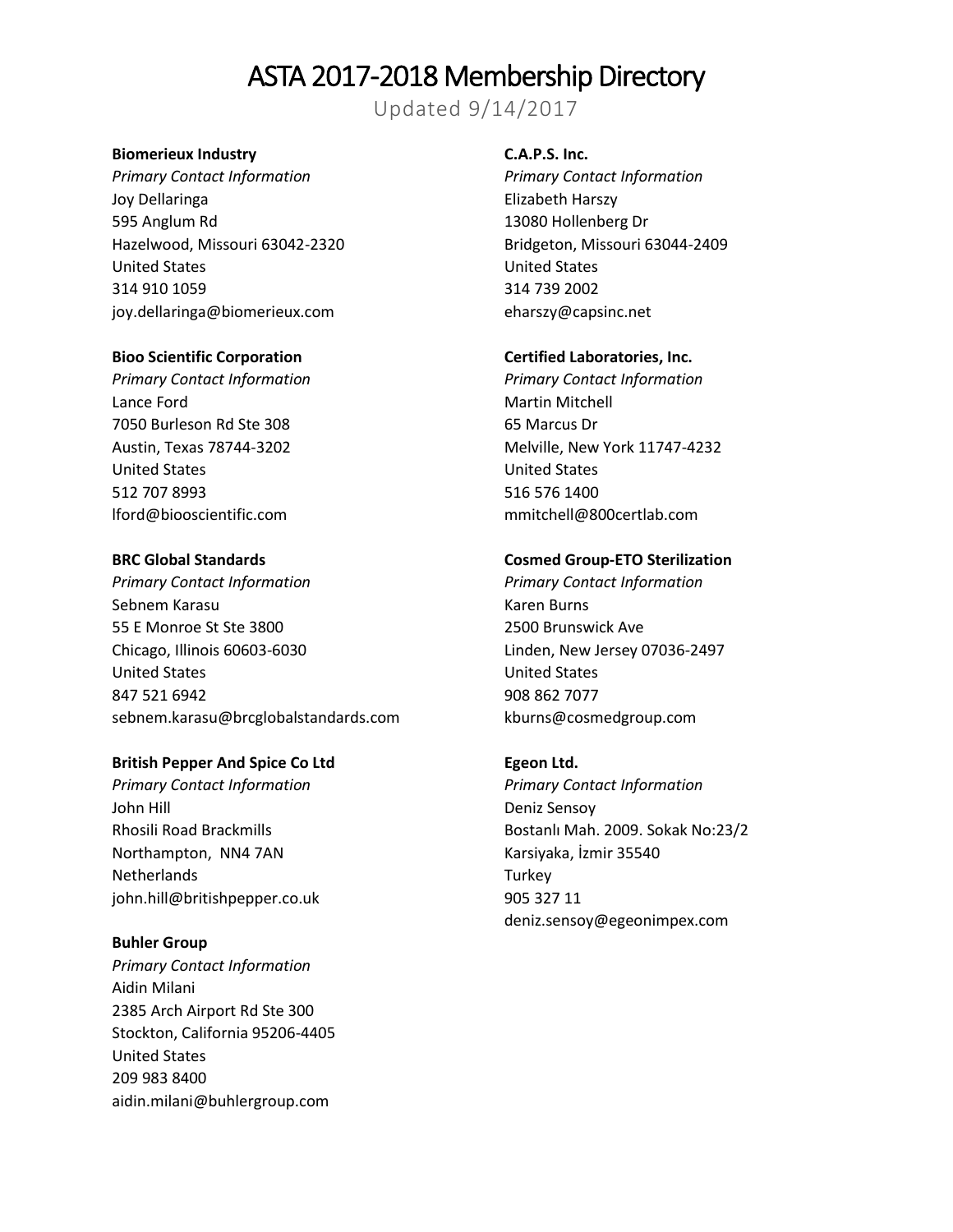Updated 9/14/2017

## **Biomerieux Industry**

*Primary Contact Information* Joy Dellaringa 595 Anglum Rd Hazelwood, Missouri 63042-2320 United States 314 910 1059 joy.dellaringa@biomerieux.com

### **Bioo Scientific Corporation**

*Primary Contact Information* Lance Ford 7050 Burleson Rd Ste 308 Austin, Texas 78744-3202 United States 512 707 8993 lford@biooscientific.com

#### **BRC Global Standards**

*Primary Contact Information* Sebnem Karasu 55 E Monroe St Ste 3800 Chicago, Illinois 60603-6030 United States 847 521 6942 sebnem.karasu@brcglobalstandards.com

#### **British Pepper And Spice Co Ltd**

*Primary Contact Information* John Hill Rhosili Road Brackmills Northampton, NN4 7AN **Netherlands** john.hill@britishpepper.co.uk

#### **Buhler Group**

*Primary Contact Information* Aidin Milani 2385 Arch Airport Rd Ste 300 Stockton, California 95206-4405 United States 209 983 8400 aidin.milani@buhlergroup.com

#### **C.A.P.S. Inc.**

*Primary Contact Information* Elizabeth Harszy 13080 Hollenberg Dr Bridgeton, Missouri 63044-2409 United States 314 739 2002 eharszy@capsinc.net

#### **Certified Laboratories, Inc.**

*Primary Contact Information* Martin Mitchell 65 Marcus Dr Melville, New York 11747-4232 United States 516 576 1400 mmitchell@800certlab.com

#### **Cosmed Group-ETO Sterilization**

*Primary Contact Information* Karen Burns 2500 Brunswick Ave Linden, New Jersey 07036-2497 United States 908 862 7077 kburns@cosmedgroup.com

#### **Egeon Ltd.**

*Primary Contact Information* Deniz Sensoy Bostanlı Mah. 2009. Sokak No:23/2 Karsiyaka, İzmir 35540 **Turkey** 905 327 11 deniz.sensoy@egeonimpex.com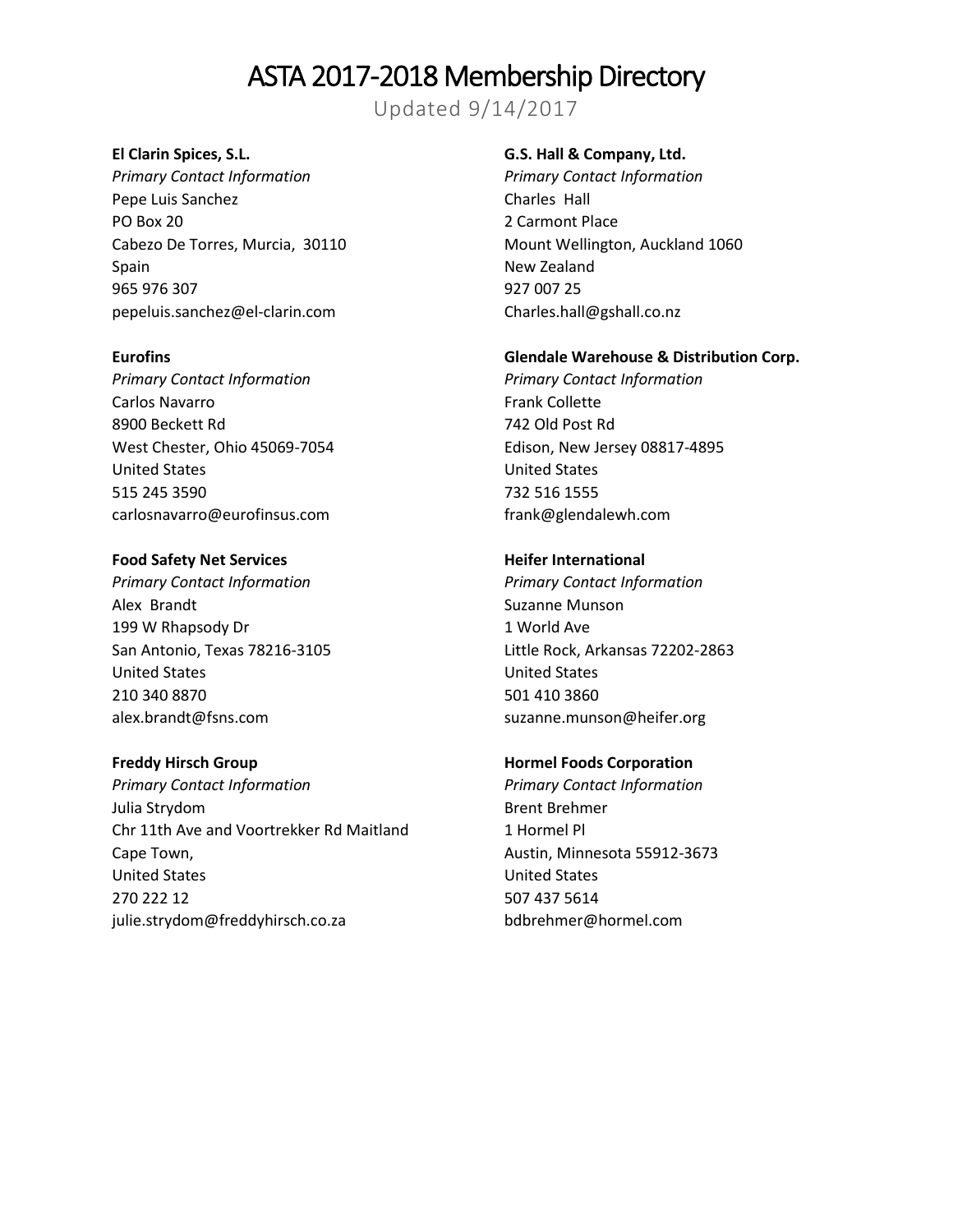Updated 9/14/2017

### **El Clarin Spices, S.L.**

*Primary Contact Information* Pepe Luis Sanchez PO Box 20 Cabezo De Torres, Murcia, 30110 Spain 965 976 307 pepeluis.sanchez@el-clarin.com

### **Eurofins**

*Primary Contact Information* Carlos Navarro 8900 Beckett Rd West Chester, Ohio 45069-7054 United States 515 245 3590 carlosnavarro@eurofinsus.com

#### **Food Safety Net Services**

*Primary Contact Information* Alex Brandt 199 W Rhapsody Dr San Antonio, Texas 78216-3105 United States 210 340 8870 alex.brandt@fsns.com

#### **Freddy Hirsch Group**

*Primary Contact Information* Julia Strydom Chr 11th Ave and Voortrekker Rd Maitland Cape Town, United States 270 222 12 julie.strydom@freddyhirsch.co.za

#### **G.S. Hall & Company, Ltd.**

*Primary Contact Information* Charles Hall 2 Carmont Place Mount Wellington, Auckland 1060 New Zealand 927 007 25 Charles.hall@gshall.co.nz

## **Glendale Warehouse & Distribution Corp.**

*Primary Contact Information* Frank Collette 742 Old Post Rd Edison, New Jersey 08817-4895 United States 732 516 1555 frank@glendalewh.com

### **Heifer International**

*Primary Contact Information* Suzanne Munson 1 World Ave Little Rock, Arkansas 72202-2863 United States 501 410 3860 suzanne.munson@heifer.org

### **Hormel Foods Corporation**

*Primary Contact Information* Brent Brehmer 1 Hormel Pl Austin, Minnesota 55912-3673 United States 507 437 5614 bdbrehmer@hormel.com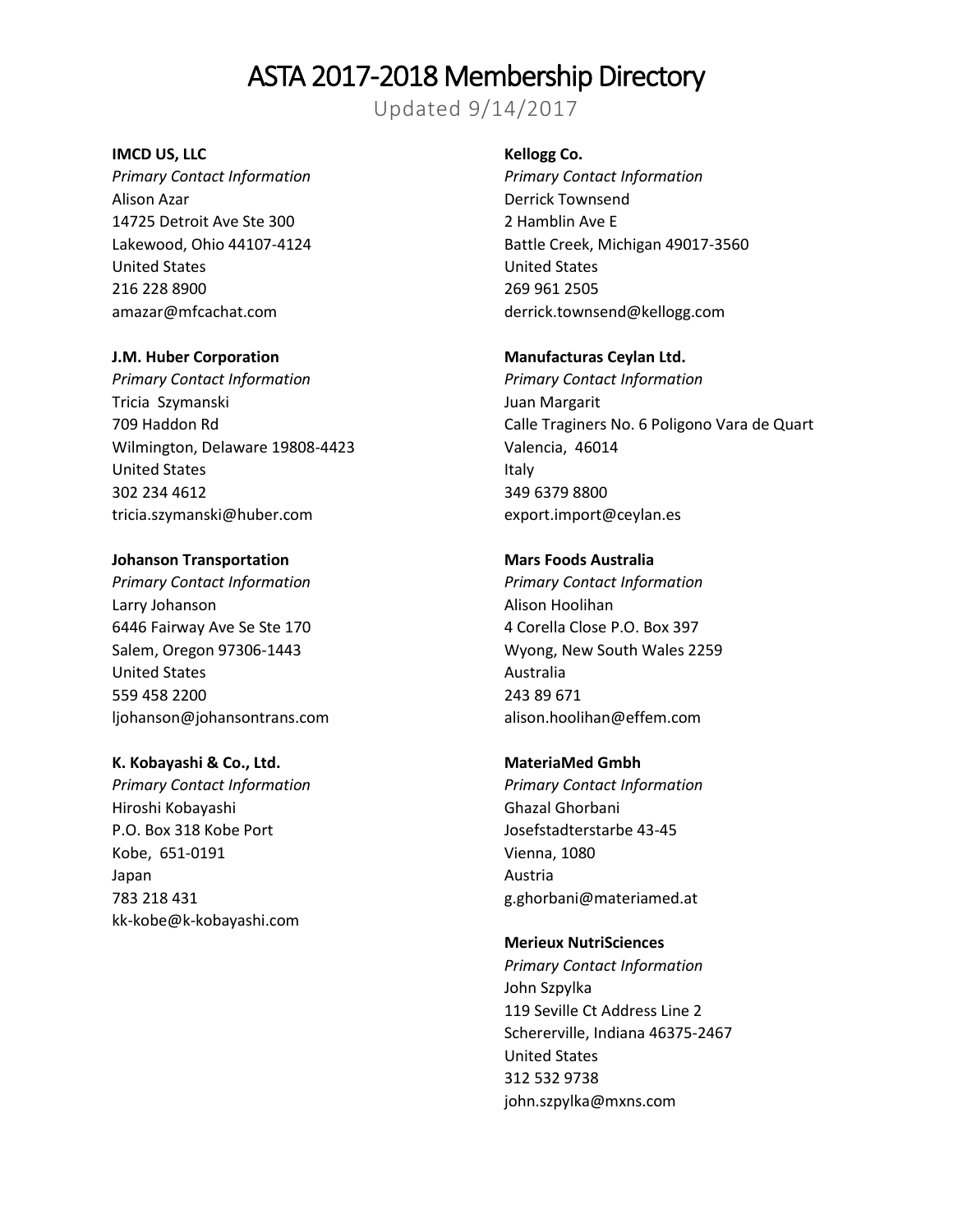Updated 9/14/2017

#### **IMCD US, LLC**

*Primary Contact Information* Alison Azar 14725 Detroit Ave Ste 300 Lakewood, Ohio 44107-4124 United States 216 228 8900 amazar@mfcachat.com

#### **J.M. Huber Corporation**

*Primary Contact Information* Tricia Szymanski 709 Haddon Rd Wilmington, Delaware 19808-4423 United States 302 234 4612 tricia.szymanski@huber.com

#### **Johanson Transportation**

*Primary Contact Information* Larry Johanson 6446 Fairway Ave Se Ste 170 Salem, Oregon 97306-1443 United States 559 458 2200 ljohanson@johansontrans.com

#### **K. Kobayashi & Co., Ltd.**

*Primary Contact Information* Hiroshi Kobayashi P.O. Box 318 Kobe Port Kobe, 651-0191 Japan 783 218 431 kk-kobe@k-kobayashi.com

#### **Kellogg Co.**

*Primary Contact Information* Derrick Townsend 2 Hamblin Ave E Battle Creek, Michigan 49017-3560 United States 269 961 2505 derrick.townsend@kellogg.com

### **Manufacturas Ceylan Ltd.**

*Primary Contact Information* Juan Margarit Calle Traginers No. 6 Poligono Vara de Quart Valencia, 46014 Italy 349 6379 8800 export.import@ceylan.es

### **Mars Foods Australia**

*Primary Contact Information* Alison Hoolihan 4 Corella Close P.O. Box 397 Wyong, New South Wales 2259 Australia 243 89 671 alison.hoolihan@effem.com

## **MateriaMed Gmbh**

*Primary Contact Information* Ghazal Ghorbani Josefstadterstarbe 43-45 Vienna, 1080 Austria g.ghorbani@materiamed.at

## **Merieux NutriSciences**

*Primary Contact Information* John Szpylka 119 Seville Ct Address Line 2 Schererville, Indiana 46375-2467 United States 312 532 9738 john.szpylka@mxns.com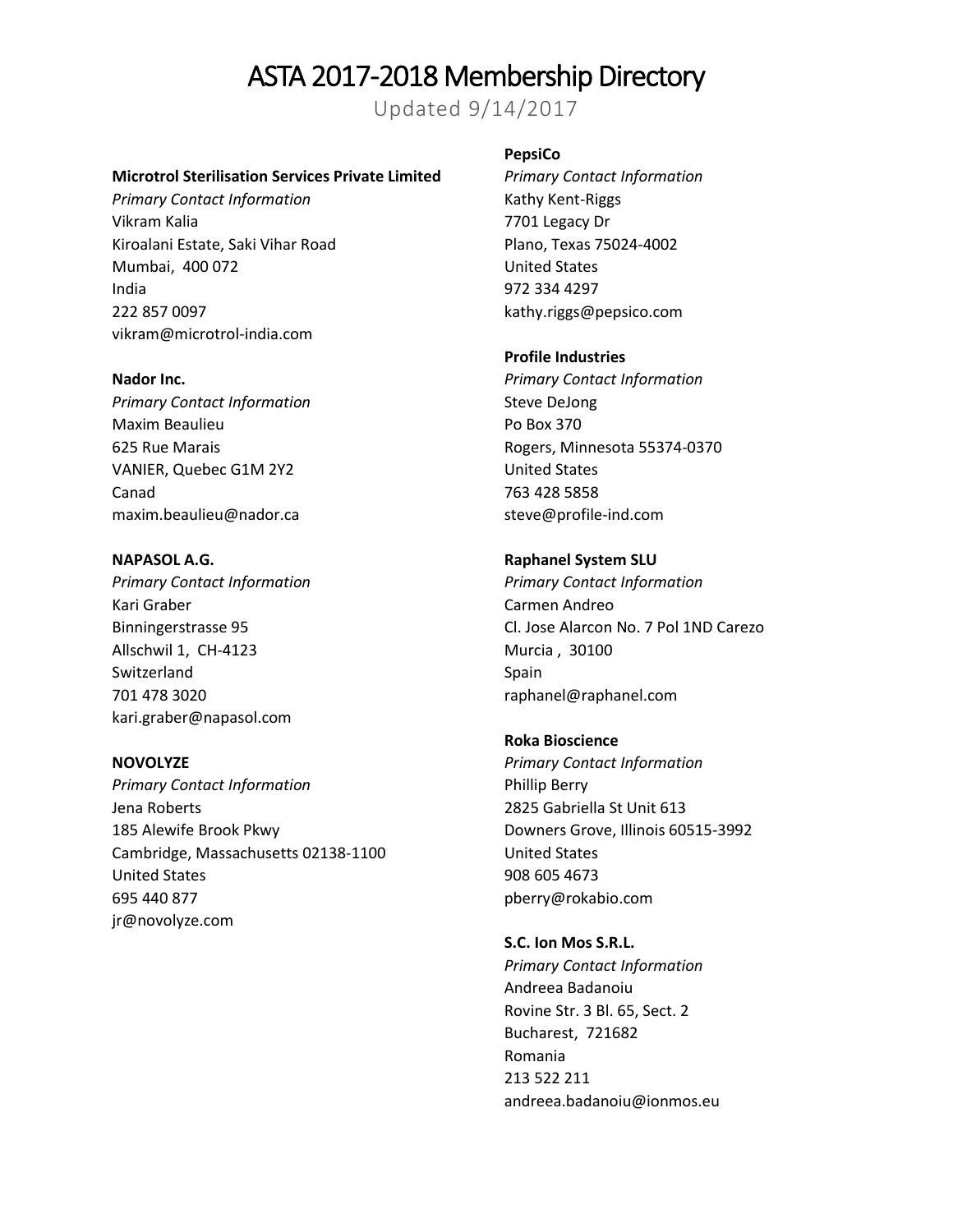Updated 9/14/2017

#### **Microtrol Sterilisation Services Private Limited**

*Primary Contact Information* Vikram Kalia Kiroalani Estate, Saki Vihar Road Mumbai, 400 072 India 222 857 0097 vikram@microtrol-india.com

#### **Nador Inc.**

*Primary Contact Information* Maxim Beaulieu 625 Rue Marais VANIER, Quebec G1M 2Y2 Canad maxim.beaulieu@nador.ca

**NAPASOL A.G.** *Primary Contact Information* Kari Graber Binningerstrasse 95 Allschwil 1, CH-4123 Switzerland 701 478 3020 kari.graber@napasol.com

**NOVOLYZE** *Primary Contact Information* Jena Roberts 185 Alewife Brook Pkwy Cambridge, Massachusetts 02138-1100 United States 695 440 877 jr@novolyze.com

#### **PepsiCo**

*Primary Contact Information* Kathy Kent-Riggs 7701 Legacy Dr Plano, Texas 75024-4002 United States 972 334 4297 kathy.riggs@pepsico.com

#### **Profile Industries**

*Primary Contact Information* Steve DeJong Po Box 370 Rogers, Minnesota 55374-0370 United States 763 428 5858 steve@profile-ind.com

#### **Raphanel System SLU**

*Primary Contact Information* Carmen Andreo Cl. Jose Alarcon No. 7 Pol 1ND Carezo Murcia , 30100 Spain raphanel@raphanel.com

**Roka Bioscience** *Primary Contact Information* Phillip Berry 2825 Gabriella St Unit 613 Downers Grove, Illinois 60515-3992 United States 908 605 4673 pberry@rokabio.com

**S.C. Ion Mos S.R.L.** *Primary Contact Information* Andreea Badanoiu Rovine Str. 3 Bl. 65, Sect. 2 Bucharest, 721682 Romania 213 522 211 andreea.badanoiu@ionmos.eu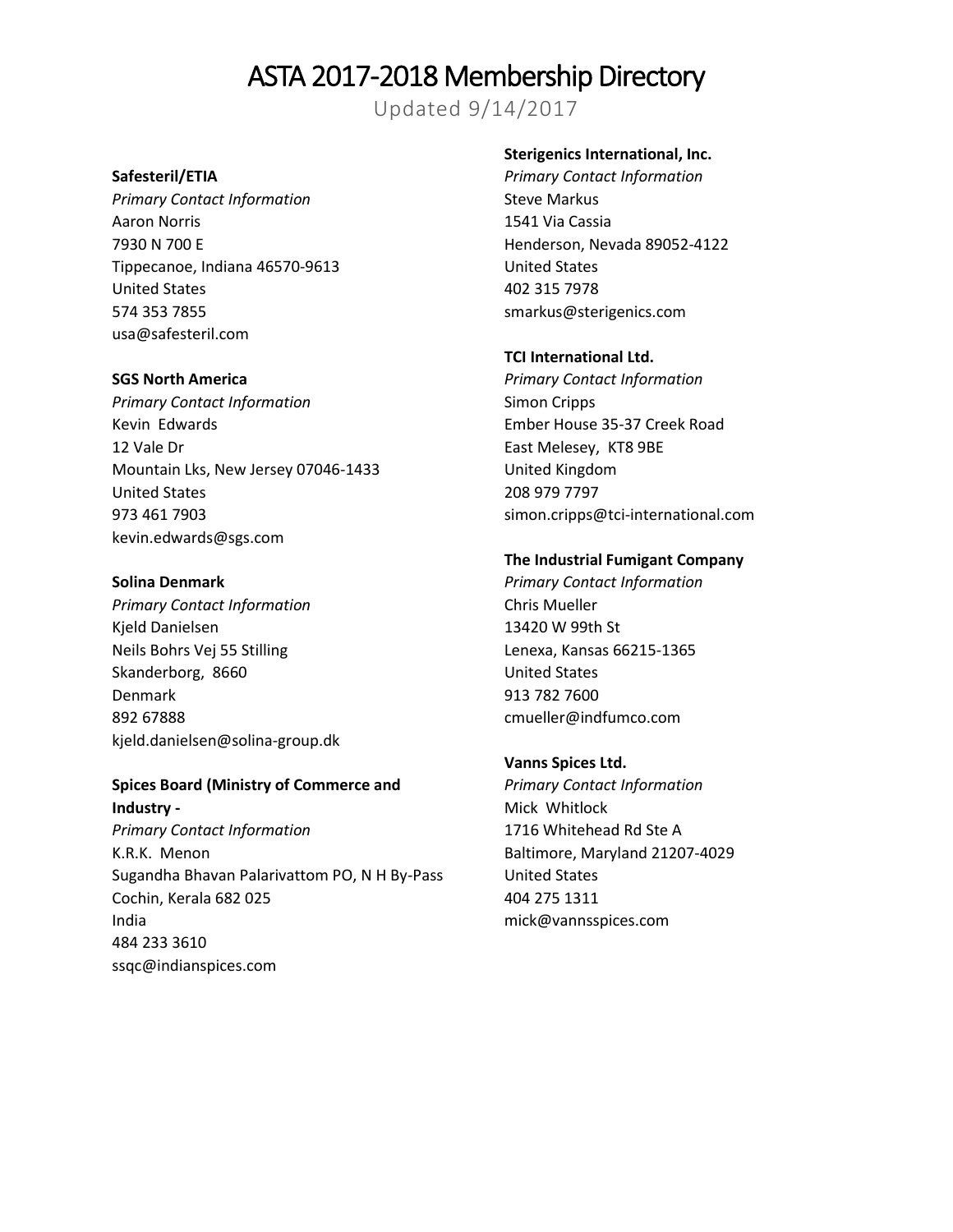Updated 9/14/2017

## **Safesteril/ETIA**

*Primary Contact Information* Aaron Norris 7930 N 700 E Tippecanoe, Indiana 46570-9613 United States 574 353 7855 usa@safesteril.com

#### **SGS North America**

*Primary Contact Information* Kevin Edwards 12 Vale Dr Mountain Lks, New Jersey 07046-1433 United States 973 461 7903 kevin.edwards@sgs.com

#### **Solina Denmark**

*Primary Contact Information* Kjeld Danielsen Neils Bohrs Vej 55 Stilling Skanderborg, 8660 Denmark 892 67888 kjeld.danielsen@solina-group.dk

## **Spices Board (Ministry of Commerce and Industry -**

*Primary Contact Information* K.R.K. Menon Sugandha Bhavan Palarivattom PO, N H By-Pass Cochin, Kerala 682 025 India 484 233 3610 ssqc@indianspices.com

## **Sterigenics International, Inc.**

*Primary Contact Information* Steve Markus 1541 Via Cassia Henderson, Nevada 89052-4122 United States 402 315 7978 smarkus@sterigenics.com

#### **TCI International Ltd.**

*Primary Contact Information* Simon Cripps Ember House 35-37 Creek Road East Melesey, KT8 9BE United Kingdom 208 979 7797 simon.cripps@tci-international.com

### **The Industrial Fumigant Company**

*Primary Contact Information* Chris Mueller 13420 W 99th St Lenexa, Kansas 66215-1365 United States 913 782 7600 cmueller@indfumco.com

## **Vanns Spices Ltd.**

*Primary Contact Information* Mick Whitlock 1716 Whitehead Rd Ste A Baltimore, Maryland 21207-4029 United States 404 275 1311 mick@vannsspices.com